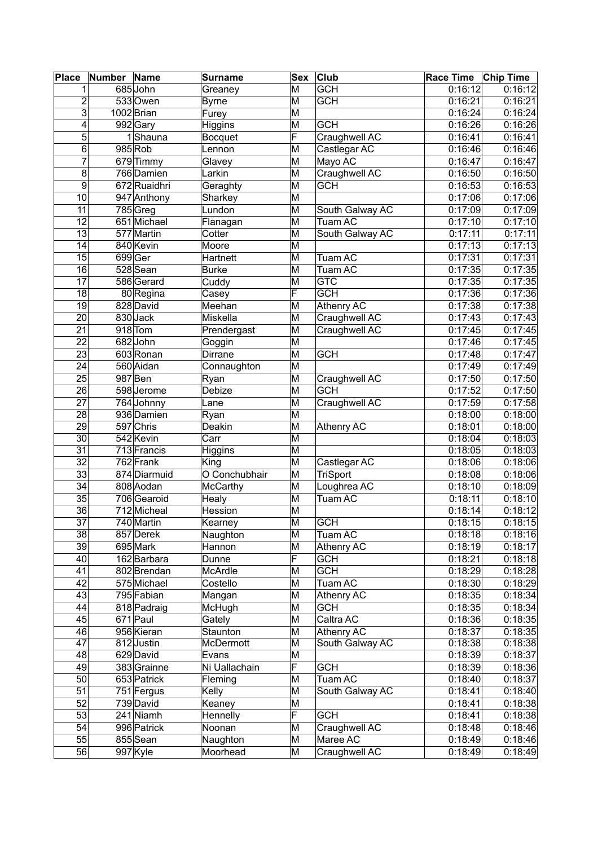| Place           | Number Name |                        | <b>Surname</b>         | <b>Sex</b>              | <b>Club</b>                     | Race Time Chip Time |         |
|-----------------|-------------|------------------------|------------------------|-------------------------|---------------------------------|---------------------|---------|
|                 |             | 685John                | Greaney                | M                       | <b>GCH</b>                      | 0:16:12             | 0:16:12 |
| $\overline{2}$  |             | $533$ Owen             | <b>Byrne</b>           | М                       | <b>GCH</b>                      | 0:16:21             | 0:16:21 |
| 3               |             | 1002 Brian             | Furey                  | M                       |                                 | 0:16:24             | 0:16:24 |
| 4               |             | 992 Gary               | Higgins                | M                       | <b>GCH</b>                      | 0:16:26             | 0:16:26 |
| 5               |             | 1Shauna                | <b>Bocquet</b>         | F                       | Craughwell AC                   | 0:16:41             | 0:16:41 |
| $\overline{6}$  |             | 985 Rob                | Lennon                 | M                       | Castlegar AC                    | 0:16:46             | 0:16:46 |
| $\overline{7}$  |             | 679 Timmy              | Glavey                 | M                       | Mayo AC                         | 0:16:47             | 0:16:47 |
| 8               |             | 766 Damien             | Larkin                 | M                       | Craughwell AC                   | 0:16:50             | 0:16:50 |
| $\overline{9}$  |             | 672 Ruaidhri           | Geraghty               | M                       | <b>GCH</b>                      | 0:16:53             | 0:16:53 |
| 10              |             | 947 Anthony            | Sharkey                | M                       |                                 | 0:17:06             | 0:17:06 |
| $\overline{11}$ |             | $785$ Greg             | Lundon                 | M                       | South Galway AC                 | 0:17:09             | 0:17:09 |
| 12              |             | 651 Michael            | Flanagan               | M                       | Tuam AC                         | 0:17:10             | 0:17:10 |
| $\overline{13}$ |             | 577 Martin             | Cotter                 | M                       | South Galway AC                 | 0:17:11             | 0:17:11 |
| 14              |             | 840 Kevin              | Moore                  | M                       |                                 | 0:17:13             | 0:17:13 |
| 15              |             | 699Ger                 | Hartnett               | M                       | Tuam AC                         | 0:17:31             | 0:17:31 |
| 16              |             | 528 Sean               | <b>Burke</b>           | M                       | Tuam AC                         | 0:17:35             | 0:17:35 |
| 17              |             | 586 Gerard             | Cuddy                  | M                       | <b>GTC</b>                      | 0:17:35             | 0:17:35 |
| 18              |             | $\overline{80}$ Regina | Casey                  | F                       | <b>GCH</b>                      | 0:17:36             | 0:17:36 |
| 19              |             | 828 David              | Meehan                 | M                       | Athenry AC                      | 0:17:38             | 0:17:38 |
| 20              |             | 830Jack                | Miskella               | M                       | Craughwell AC                   | 0:17:43             | 0:17:43 |
| 21              |             | $918$ Tom              | Prendergast            | M                       | Craughwell AC                   | 0:17:45             | 0:17:45 |
| $\overline{22}$ |             | 682John                | Goggin                 | M                       |                                 | 0:17:46             | 0:17:45 |
| 23              |             | 603 Ronan              | Dirrane                | M                       | <b>GCH</b>                      | 0:17:48             | 0:17:47 |
| 24              |             | 560 Aidan              | Connaughton            | M                       |                                 | 0:17:49             | 0:17:49 |
| 25              |             | 987 Ben                | Ryan                   | M                       | Craughwell AC                   | 0:17:50             | 0:17:50 |
| 26              |             | 598 Jerome             | Debize                 | M                       | <b>GCH</b>                      | 0:17:52             | 0:17:50 |
| $\overline{27}$ |             | 764 Johnny             | Lane                   | M                       | Craughwell AC                   | 0:17:59             | 0:17:58 |
| 28              |             | 936 Damien             | Ryan                   | M                       |                                 | 0:18:00             | 0:18:00 |
| 29              |             | 597 Chris              | Deakin                 | M                       | Athenry AC                      | 0:18:01             | 0:18:00 |
| 30              |             | 542 Kevin              | Carr                   | M                       |                                 | 0:18:04             | 0:18:03 |
| $\overline{31}$ |             | 713 Francis            |                        | $\overline{\mathsf{M}}$ |                                 | 0:18:05             | 0:18:03 |
| $\overline{32}$ |             | 762 Frank              | <b>Higgins</b><br>King | M                       |                                 | 0:18:06             | 0:18:06 |
| 33              |             | 874 Diarmuid           | O Conchubhair          | M                       | Castlegar AC<br><b>TriSport</b> | 0:18:08             | 0:18:06 |
| 34              |             | 808 Aodan              | McCarthy               | M                       | Loughrea AC                     | 0:18:10             | 0:18:09 |
| 35              |             | 706 Gearoid            | Healy                  | M                       | Tuam AC                         | 0:18:11             | 0:18:10 |
| 36              |             | 712 Micheal            | Hession                | M                       |                                 | 0:18:14             | 0:18:12 |
| $\overline{37}$ |             | 740 Martin             |                        | $\overline{\mathsf{M}}$ | <b>GCH</b>                      |                     | 0:18:15 |
| $\overline{38}$ |             | 857 Derek              | Kearney                |                         |                                 | 0:18:15<br>0:18:18  | 0:18:16 |
|                 |             | 695 Mark               | Naughton               | М                       | Tuam AC                         |                     |         |
| 39              |             |                        | Hannon                 | M<br>F                  | Athenry AC                      | 0:18:19             | 0:18:17 |
| 40              |             | 162 Barbara            | Dunne                  |                         | <b>GCH</b>                      | 0:18:21             | 0:18:18 |
| 41              |             | 802 Brendan            | McArdle                | M                       | <b>GCH</b>                      | 0:18:29             | 0:18:28 |
| 42              |             | 575 Michael            | Costello               | M                       | Tuam AC                         | 0:18:30             | 0:18:29 |
| 43              |             | 795 Fabian             | Mangan                 | M                       | Athenry AC                      | 0:18:35             | 0:18:34 |
| 44              |             | 818 Padraig            | McHugh                 | M                       | <b>GCH</b>                      | 0:18:35             | 0:18:34 |
| 45              |             | 671 Paul               | Gately                 | M                       | Caltra AC                       | 0:18:36             | 0:18:35 |
| 46              |             | 956 Kieran             | Staunton               | M                       | Athenry AC                      | 0:18:37             | 0:18:35 |
| 47              |             | 812 Justin             | McDermott              | M                       | South Galway AC                 | 0:18:38             | 0:18:38 |
| 48              |             | 629 David              | Evans                  | M                       |                                 | 0:18:39             | 0:18:37 |
| 49              |             | 383 Grainne            | Ni Uallachain          | F                       | <b>GCH</b>                      | 0:18:39             | 0:18:36 |
| 50              |             | 653 Patrick            | Fleming                | M                       | Tuam AC                         | 0:18:40             | 0:18:37 |
| 51              |             | 751 Fergus             | Kelly                  | M                       | South Galway AC                 | 0:18:41             | 0:18:40 |
| 52              |             | 739 David              | Keaney                 | M                       |                                 | 0:18:41             | 0:18:38 |
| 53              |             | 241 Niamh              | Hennelly               | F                       | <b>GCH</b>                      | 0:18:41             | 0:18:38 |
| 54              |             | 996 Patrick            | Noonan                 | M                       | Craughwell AC                   | 0:18:48             | 0:18:46 |
| 55              |             | 855 Sean               | Naughton               | M                       | Maree AC                        | 0:18:49             | 0:18:46 |
| 56              |             | 997 Kyle               | Moorhead               | M                       | Craughwell AC                   | 0:18:49             | 0:18:49 |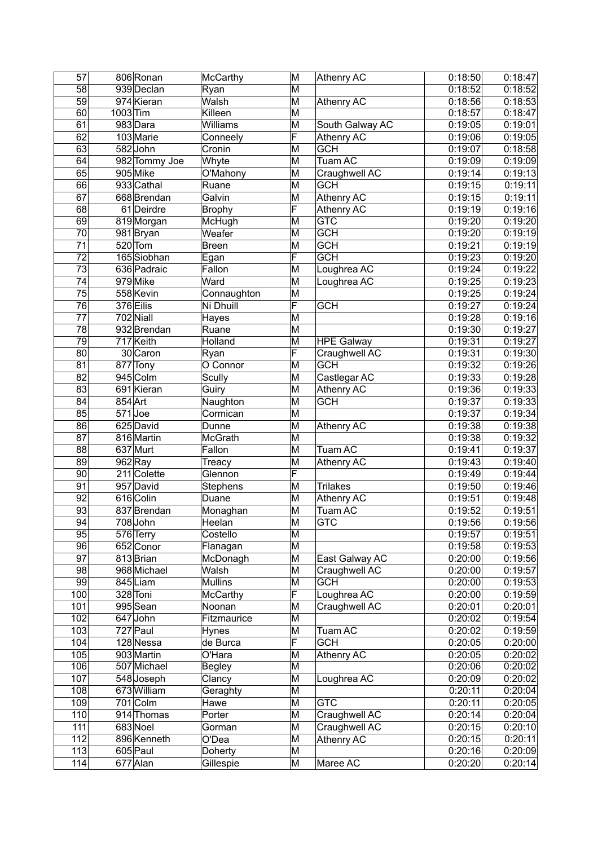| 57              |          | 806 Ronan     | McCarthy        | M                       | Athenry AC              | 0:18:50 | 0:18:47 |
|-----------------|----------|---------------|-----------------|-------------------------|-------------------------|---------|---------|
| $\overline{58}$ |          | 939 Declan    | Ryan            | $\overline{\mathsf{M}}$ |                         | 0:18:52 | 0:18:52 |
| 59              |          | 974 Kieran    | Walsh           | M                       | Athenry AC              | 0:18:56 | 0:18:53 |
| 60              | 1003 Tim |               | Killeen         | M                       |                         | 0:18:57 | 0:18:47 |
| 61              |          | 983 Dara      | <b>Williams</b> | M                       | South Galway AC         | 0:19:05 | 0:19:01 |
| 62              |          | 103 Marie     | Conneely        | F                       | Athenry AC              | 0:19:06 | 0:19:05 |
| $\overline{63}$ |          | 582John       | Cronin          | $\overline{\mathsf{M}}$ | <b>GCH</b>              | 0:19:07 | 0:18:58 |
| 64              |          | 982 Tommy Joe | Whyte           | M                       | Tuam AC                 | 0:19:09 | 0:19:09 |
| 65              |          | 905 Mike      | O'Mahony        | M                       | Craughwell AC           | 0:19:14 | 0:19:13 |
| 66              |          | 933 Cathal    | Ruane           | M                       | <b>GCH</b>              | 0:19:15 | 0:19:11 |
| 67              |          | 668 Brendan   | Galvin          | M                       | <b>Athenry AC</b>       | 0:19:15 | 0:19:11 |
| 68              |          | 61 Deirdre    | <b>Brophy</b>   | F                       | Athenry AC              | 0:19:19 | 0:19:16 |
| 69              |          | 819 Morgan    | McHugh          | $\overline{\mathsf{M}}$ | $\overline{\text{GTC}}$ | 0:19:20 | 0:19:20 |
| 70              |          | 981 Bryan     | Weafer          | M                       | GCH                     | 0:19:20 | 0:19:19 |
| 71              |          | $520$ Tom     | <b>Breen</b>    | M                       | <b>GCH</b>              | 0:19:21 | 0:19:19 |
| $\overline{72}$ |          | 165 Siobhan   | Egan            | F                       | <b>GCH</b>              | 0:19:23 | 0:19:20 |
| 73              |          | 636 Padraic   | Fallon          | M                       | Loughrea AC             | 0:19:24 | 0:19:22 |
| $\overline{74}$ |          | 979 Mike      | Ward            | M                       | Loughrea AC             | 0:19:25 | 0:19:23 |
|                 |          | 558 Kevin     |                 |                         |                         |         |         |
| 75              |          |               | Connaughton     | M                       |                         | 0:19:25 | 0:19:24 |
| 76              |          | 376 Eilis     | Ni Dhuill       | F                       | <b>GCH</b>              | 0:19:27 | 0:19:24 |
| $\overline{77}$ |          | 702 Niall     | <b>Hayes</b>    | M                       |                         | 0:19:28 | 0:19:16 |
| 78              |          | 932 Brendan   | Ruane           | M                       |                         | 0:19:30 | 0:19:27 |
| 79              |          | 717 Keith     | Holland         | $\overline{\mathsf{M}}$ | <b>HPE Galway</b>       | 0:19:31 | 0:19:27 |
| 80              |          | 30 Caron      | Ryan            | F                       | Craughwell AC           | 0:19:31 | 0:19:30 |
| 81              |          | 877 Tony      | O Connor        | M                       | <b>GCH</b>              | 0:19:32 | 0:19:26 |
| 82              |          | 945 Colm      | Scully          | M                       | Castlegar AC            | 0:19:33 | 0:19:28 |
| 83              |          | 691 Kieran    | Guiry           | M                       | <b>Athenry AC</b>       | 0:19:36 | 0:19:33 |
| 84              | 854 Art  |               | Naughton        | M                       | <b>GCH</b>              | 0:19:37 | 0:19:33 |
| 85              |          | $571$ Joe     | Cormican        | M                       |                         | 0:19:37 | 0:19:34 |
| 86              |          | 625 David     | Dunne           | M                       | Athenry AC              | 0:19:38 | 0:19:38 |
| $\overline{87}$ |          | 816 Martin    | McGrath         | M                       |                         | 0:19:38 | 0:19:32 |
| 88              |          | 637 Murt      | Fallon          | M                       | <b>Tuam AC</b>          | 0:19:41 | 0:19:37 |
| 89              |          | $962$ Ray     | Treacy          | M                       | Athenry AC              | 0:19:43 | 0:19:40 |
| 90              |          | $211$ Colette | Glennon         | F                       |                         | 0:19:49 | 0:19:44 |
| 91              |          | 957 David     | Stephens        | M                       | <b>Trilakes</b>         | 0:19:50 | 0:19:46 |
| 92              |          | 616 Colin     | Duane           | M                       | <b>Athenry AC</b>       | 0:19:51 | 0:19:48 |
| 93              |          | 837 Brendan   | Monaghan        | M                       | Tuam AC                 | 0:19:52 | 0:19:51 |
| $\overline{94}$ |          | $708$ John    | Heelan          | $\overline{\mathsf{M}}$ | <b>GTC</b>              | 0:19:56 | 0:19:56 |
| 95              |          | 576 Terry     | Costello        | M                       |                         | 0:19:57 | 0:19:51 |
| 96              |          | 652 Conor     | Flanagan        | M                       |                         | 0:19:58 | 0:19:53 |
| 97              |          | 813Brian      | McDonagh        | M                       | East Galway AC          | 0:20:00 | 0:19:56 |
| 98              |          | 968 Michael   | Walsh           | M                       | Craughwell AC           | 0:20:00 | 0:19:57 |
| 99              |          | 845 Liam      | <b>Mullins</b>  | M                       | <b>GCH</b>              | 0:20:00 | 0:19:53 |
| 100             |          | 328 Toni      | McCarthy        | F                       | Loughrea AC             | 0:20:00 | 0:19:59 |
| 101             |          | 995 Sean      | Noonan          | M                       | Craughwell AC           | 0:20:01 | 0:20:01 |
| 102             |          | 647 John      | Fitzmaurice     | M                       |                         | 0:20:02 | 0:19:54 |
| 103             |          | 727 Paul      | Hynes           | M                       | Tuam AC                 | 0:20:02 | 0:19:59 |
| 104             |          | 128 Nessa     | de Burca        | F                       | <b>GCH</b>              | 0:20:05 | 0:20:00 |
| 105             |          | 903 Martin    | O'Hara          | M                       | Athenry AC              | 0:20:05 | 0:20:02 |
| 106             |          | 507 Michael   | <b>Begley</b>   | M                       |                         | 0:20:06 | 0:20:02 |
| 107             |          | 548 Joseph    | Clancy          | M                       | Loughrea AC             | 0:20:09 | 0:20:02 |
| 108             |          | 673 William   | Geraghty        | M                       |                         | 0:20:11 | 0:20:04 |
| 109             |          | 701 Colm      | Hawe            | M                       | <b>GTC</b>              | 0:20:11 | 0:20:05 |
| 110             |          | 914 Thomas    | Porter          | M                       | Craughwell AC           | 0:20:14 | 0:20:04 |
| 111             |          | 683 Noel      | Gorman          | M                       | Craughwell AC           | 0:20:15 | 0:20:10 |
| 112             |          | 896 Kenneth   | O'Dea           | M                       | Athenry AC              | 0:20:15 | 0:20:11 |
| 113             |          | 605 Paul      | Doherty         | M                       |                         | 0:20:16 | 0:20:09 |
| 114             |          | 677 Alan      | Gillespie       | M                       | Maree AC                | 0:20:20 | 0:20:14 |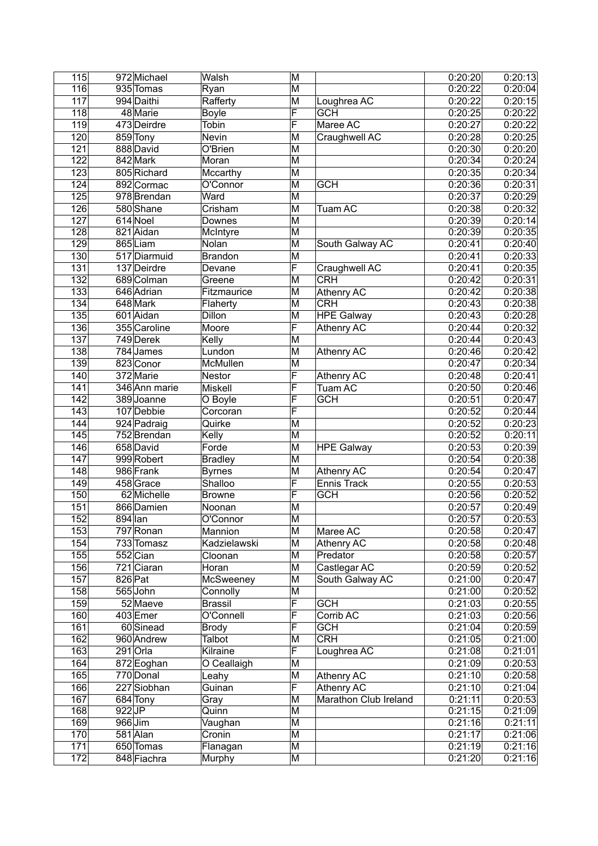| 115              |           | 972 Michael   | Walsh          | M                       |                             | 0:20:20 | 0:20:13 |
|------------------|-----------|---------------|----------------|-------------------------|-----------------------------|---------|---------|
| 116              |           | 935 Tomas     | Ryan           | $\overline{\mathsf{M}}$ |                             | 0:20:22 | 0:20:04 |
| 117              |           | 994 Daithi    | Rafferty       | M                       | Loughrea AC                 | 0:20:22 | 0:20:15 |
| $\overline{118}$ |           | 48 Marie      | Boyle          | F                       | <b>GCH</b>                  | 0:20:25 | 0:20:22 |
| 119              |           | 473 Deirdre   | Tobin          | F                       | Maree AC                    | 0:20:27 | 0:20:22 |
| 120              |           | 859 Tony      | Nevin          | M                       | Craughwell AC               | 0:20:28 | 0:20:25 |
| 121              |           | 888 David     | O'Brien        | M                       |                             | 0:20:30 | 0:20:20 |
| 122              |           | 842 Mark      | Moran          | M                       |                             | 0:20:34 | 0:20:24 |
| 123              |           | 805 Richard   | Mccarthy       | M                       |                             | 0:20:35 | 0:20:34 |
| 124              |           | 892 Cormac    | O'Connor       | M                       | <b>GCH</b>                  | 0:20:36 | 0:20:31 |
| 125              |           | 978 Brendan   | Ward           | M                       |                             | 0:20:37 | 0:20:29 |
| 126              |           | 580 Shane     | Crisham        | M                       | Tuam AC                     | 0:20:38 | 0:20:32 |
| 127              |           | 614 Noel      | Downes         | M                       |                             | 0:20:39 | 0:20:14 |
| 128              |           | 821 Aidan     | McIntyre       | M                       |                             | 0:20:39 | 0:20:35 |
| 129              |           | 865Liam       | Nolan          | M                       | South Galway AC             | 0:20:41 | 0:20:40 |
| 130              |           | 517 Diarmuid  | Brandon        | M                       |                             | 0:20:41 | 0:20:33 |
| 131              |           | 137 Deirdre   | Devane         | F                       |                             | 0:20:41 | 0:20:35 |
| $\overline{132}$ |           | 689 Colman    | Greene         | M                       | Craughwell AC<br><b>CRH</b> | 0:20:42 | 0:20:31 |
|                  |           | 646 Adrian    |                |                         |                             |         |         |
| 133              |           |               | Fitzmaurice    | M                       | Athenry AC                  | 0:20:42 | 0:20:38 |
| 134              |           | 648 Mark      | Flaherty       | M                       | CRH                         | 0:20:43 | 0:20:38 |
| 135              |           | 601 Aidan     | Dillon         | M                       | <b>HPE Galway</b>           | 0:20:43 | 0:20:28 |
| 136              |           | 355 Caroline  | Moore          | F                       | Athenry AC                  | 0:20:44 | 0:20:32 |
| 137              |           | 749 Derek     | Kelly          | M                       |                             | 0:20:44 | 0:20:43 |
| 138              |           | 784 James     | Lundon         | M                       | Athenry AC                  | 0:20:46 | 0:20:42 |
| 139              |           | 823 Conor     | McMullen       | M                       |                             | 0:20:47 | 0:20:34 |
| 140              |           | $372$ Marie   | Nestor         | F                       | <b>Athenry AC</b>           | 0:20:48 | 0:20:41 |
| 141              |           | 346 Ann marie | Miskell        | F                       | Tuam AC                     | 0:20:50 | 0:20:46 |
| 142              |           | 389 Joanne    | O Boyle        | F                       | <b>GCH</b>                  | 0:20:51 | 0:20:47 |
| $\overline{143}$ |           | 107 Debbie    | Corcoran       | F                       |                             | 0:20:52 | 0:20:44 |
| 144              |           | 924 Padraig   | Quirke         | M                       |                             | 0:20:52 | 0:20:23 |
| 145              |           | 752 Brendan   | Kelly          | M                       |                             | 0:20:52 | 0:20:11 |
| 146              |           | 658 David     | Forde          | M                       | <b>HPE Galway</b>           | 0:20:53 | 0:20:39 |
| 147              |           | 999 Robert    | <b>Bradley</b> | M                       |                             | 0:20:54 | 0:20:38 |
| 148              |           | 986 Frank     | <b>Byrnes</b>  | M                       | Athenry AC                  | 0:20:54 | 0:20:47 |
| 149              |           | 458 Grace     | Shalloo        | F                       | Ennis Track                 | 0:20:55 | 0:20:53 |
| 150              |           | 62 Michelle   | <b>Browne</b>  | F                       | <b>GCH</b>                  | 0:20:56 | 0:20:52 |
| 151              |           | 866 Damien    | Noonan         | M                       |                             | 0:20:57 | 0:20:49 |
| 152              | $894$ lan |               | O'Connor       | M                       |                             | 0:20:57 | 0:20:53 |
| 153              |           | 797 Ronan     | Mannion        | M                       | Maree AC                    | 0:20:58 | 0:20:47 |
| 154              |           | 733 Tomasz    | Kadzielawski   | M                       | Athenry AC                  | 0:20:58 | 0:20:48 |
| 155              |           | 552 Cian      | Cloonan        | M                       | Predator                    | 0:20:58 | 0:20:57 |
| 156              |           | 721 Ciaran    | Horan          | M                       | Castlegar AC                | 0:20:59 | 0:20:52 |
| 157              | 826 Pat   |               | McSweeney      | M                       | South Galway AC             | 0:21:00 | 0:20:47 |
| 158              |           | 565 John      | Connolly       | M                       |                             | 0:21:00 | 0:20:52 |
| 159              |           | 52 Maeve      | Brassil        | F                       | <b>GCH</b>                  | 0:21:03 | 0:20:55 |
| 160              |           | 403Emer       | O'Connell      | F                       | Corrib AC                   | 0:21:03 | 0:20:56 |
| 161              |           | 60 Sinead     | Brody          | F                       | <b>GCH</b>                  | 0:21:04 | 0:20:59 |
| 162              |           | 960 Andrew    | Talbot         | M                       | <b>CRH</b>                  | 0:21:05 | 0:21:00 |
| 163              |           | $291$ Orla    | Kilraine       | F                       | Loughrea AC                 | 0:21:08 | 0:21:01 |
| 164              |           | 872 Eoghan    | O Ceallaigh    | M                       |                             | 0:21:09 | 0:20:53 |
| 165              |           | 770 Donal     | Leahy          | M                       | Athenry AC                  | 0:21:10 | 0:20:58 |
| 166              |           | 227 Siobhan   | Guinan         | F                       | Athenry AC                  | 0:21:10 | 0:21:04 |
| 167              |           | 684 Tony      | Gray           | M                       | Marathon Club Ireland       | 0:21:11 | 0:20:53 |
| 168              | $922$ JP  |               | Quinn          | M                       |                             | 0:21:15 | 0:21:09 |
| 169              |           | $966$ Jim     | Vaughan        | M                       |                             | 0:21:16 | 0:21:11 |
| 170              |           | 581 Alan      | Cronin         | M                       |                             | 0:21:17 | 0:21:06 |
| 171              |           | 650 Tomas     | Flanagan       | M                       |                             | 0:21:19 | 0:21:16 |
| 172              |           | 848 Fiachra   | Murphy         | M                       |                             | 0:21:20 | 0:21:16 |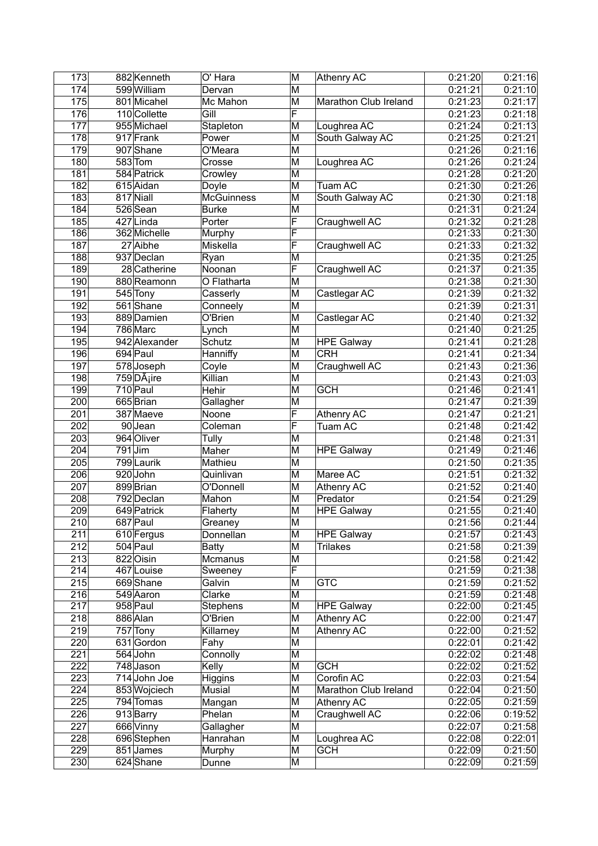| 173 | 882 Kenneth             | O' Hara           | M                       | <b>Athenry AC</b>     | 0:21:20 | 0:21:16 |
|-----|-------------------------|-------------------|-------------------------|-----------------------|---------|---------|
| 174 | 599 William             | Dervan            | M                       |                       | 0:21:21 | 0:21:10 |
| 175 | 801 Micahel             | Mc Mahon          | M                       | Marathon Club Ireland | 0:21:23 | 0:21:17 |
| 176 | 110 Collette            | Gill              | F                       |                       | 0:21:23 | 0:21:18 |
| 177 | 955 Michael             | Stapleton         | M                       | Loughrea AC           | 0:21:24 | 0:21:13 |
| 178 | 917 Frank               | Power             | M                       | South Galway AC       | 0:21:25 | 0:21:21 |
| 179 | 907 Shane               | O'Meara           | M                       |                       | 0:21:26 | 0:21:16 |
| 180 | 583 Tom                 | Crosse            | M                       | Loughrea AC           | 0:21:26 | 0:21:24 |
| 181 | 584 Patrick             | Crowley           | M                       |                       | 0:21:28 | 0:21:20 |
| 182 | 615 Aidan               | Doyle             | M                       | Tuam AC               | 0:21:30 | 0:21:26 |
| 183 | 817 Niall               | <b>McGuinness</b> | M                       | South Galway AC       | 0:21:30 | 0:21:18 |
| 184 | 526 Sean                | <b>Burke</b>      | $\overline{\mathsf{M}}$ |                       | 0:21:31 | 0:21:24 |
| 185 | 427Linda                | Porter            | F                       | Craughwell AC         | 0:21:32 | 0:21:28 |
| 186 | 362 Michelle            | Murphy            | F                       |                       | 0:21:33 | 0:21:30 |
| 187 | 27 Aibhe                | Miskella          | F                       | Craughwell AC         | 0:21:33 | 0:21:32 |
| 188 | 937 Declan              | Ryan              | M                       |                       | 0:21:35 | 0:21:25 |
| 189 | 28 Catherine            | Noonan            | F                       | Craughwell AC         | 0:21:37 | 0:21:35 |
| 190 | 880 Reamonn             | O Flatharta       | M                       |                       | 0:21:38 | 0:21:30 |
| 191 | 545 Tony                | Casserly          | M                       | Castlegar AC          | 0:21:39 | 0:21:32 |
| 192 | 561 Shane               | Conneely          | M                       |                       | 0:21:39 | 0:21:31 |
| 193 | 889 Damien              | O'Brien           | M                       |                       |         | 0:21:32 |
|     | 786 Marc                |                   | $\overline{\mathsf{M}}$ | Castlegar AC          | 0:21:40 | 0:21:25 |
| 194 |                         | Lynch             |                         |                       | 0:21:40 |         |
| 195 | 942 Alexander           | Schutz            | M                       | <b>HPE Galway</b>     | 0:21:41 | 0:21:28 |
| 196 | 694 Paul                | Hanniffy          | M                       | <b>CRH</b>            | 0:21:41 | 0:21:34 |
| 197 | 578Joseph               | Coyle             | M                       | Craughwell AC         | 0:21:43 | 0:21:36 |
| 198 | 759DÂ <sub>i</sub> ire  | Killian           | M                       |                       | 0:21:43 | 0:21:03 |
| 199 | 710 Paul                | Hehir             | M                       | <b>GCH</b>            | 0:21:46 | 0:21:41 |
| 200 | 665Brian                | Gallagher         | M                       |                       | 0:21:47 | 0:21:39 |
| 201 | 387 Maeve               | Noone             | F                       | <b>Athenry AC</b>     | 0:21:47 | 0:21:21 |
| 202 | 90Jean                  | Coleman           | F                       | Tuam AC               | 0:21:48 | 0:21:42 |
| 203 | 964 Oliver              | Tully             | M                       |                       | 0:21:48 | 0:21:31 |
| 204 | $791$ Jim               | Maher             | M                       | <b>HPE Galway</b>     | 0:21:49 | 0:21:46 |
| 205 | $\overline{799}$ Laurik | Mathieu           | M                       |                       | 0:21:50 | 0:21:35 |
| 206 | 920John                 | Quinlivan         | M                       | Maree AC              | 0:21:51 | 0:21:32 |
| 207 | 899 Brian               | O'Donnell         | M                       | Athenry AC            | 0:21:52 | 0:21:40 |
| 208 | 792 Declan              | Mahon             | M                       | Predator              | 0:21:54 | 0:21:29 |
| 209 | 649 Patrick             | Flaherty          | M                       | <b>HPE Galway</b>     | 0:21:55 | 0:21:40 |
| 210 | 687 Paul                | Greaney           | M                       |                       | 0:21:56 | 0:21:44 |
| 211 | 610 Fergus              | Donnellan         | M                       | <b>HPE Galway</b>     | 0:21:57 | 0:21:43 |
| 212 | $504$ Paul              | Batty             | M                       | <b>Trilakes</b>       | 0:21:58 | 0:21:39 |
| 213 | 822 Oisin               | Mcmanus           | M                       |                       | 0:21:58 | 0:21:42 |
| 214 | 467 Louise              | Sweeney           | F                       |                       | 0:21:59 | 0:21:38 |
| 215 | 669Shane                | Galvin            | M                       | <b>GTC</b>            | 0:21:59 | 0:21:52 |
| 216 | 549 Aaron               | Clarke            | M                       |                       | 0:21:59 | 0:21:48 |
| 217 | 958 Paul                | Stephens          | M                       | <b>HPE Galway</b>     | 0:22:00 | 0:21:45 |
| 218 | 886 Alan                | O'Brien           | M                       | Athenry AC            | 0:22:00 | 0:21:47 |
| 219 | 757 Tony                | Killarney         | M                       | Athenry AC            | 0:22:00 | 0:21:52 |
| 220 | 631 Gordon              | Fahy              | M                       |                       | 0:22:01 | 0:21:42 |
| 221 | 564 John                | Connolly          | M                       |                       | 0:22:02 | 0:21:48 |
| 222 |                         |                   | M                       | <b>GCH</b>            |         | 0:21:52 |
|     | 748 Jason               | Kelly             |                         |                       | 0:22:02 |         |
| 223 | 714 John Joe            | <b>Higgins</b>    | M                       | Corofin AC            | 0:22:03 | 0:21:54 |
| 224 | 853 Wojciech            | Musial            | M                       | Marathon Club Ireland | 0:22:04 | 0:21:50 |
| 225 | 794 Tomas               | Mangan            | M                       | Athenry AC            | 0:22:05 | 0:21:59 |
| 226 | 913 Barry               | Phelan            | M                       | Craughwell AC         | 0:22:06 | 0:19:52 |
| 227 | 666 Vinny               | Gallagher         | M                       |                       | 0:22:07 | 0:21:58 |
| 228 | 696 Stephen             | Hanrahan          | M                       | Loughrea AC           | 0:22:08 | 0:22:01 |
| 229 | 851 James               | Murphy            | M                       | <b>GCH</b>            | 0:22:09 | 0:21:50 |
| 230 | 624 Shane               | Dunne             | M                       |                       | 0:22:09 | 0:21:59 |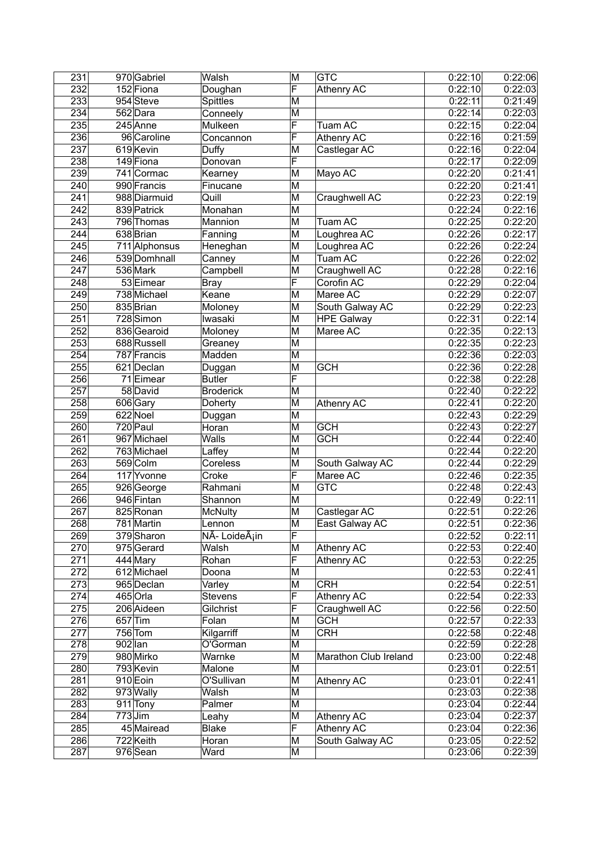| $\overline{231}$ |           | 970 Gabriel   | Walsh            | $\overline{\mathsf{M}}$ | <b>GTC</b>            | 0:22:10 | 0:22:06 |
|------------------|-----------|---------------|------------------|-------------------------|-----------------------|---------|---------|
| 232              |           | 152 Fiona     | Doughan          | F                       | Athenry AC            | 0:22:10 | 0:22:03 |
| 233              |           | 954 Steve     | Spittles         | M                       |                       | 0:22:11 | 0:21:49 |
| 234              |           | 562Dara       | Conneely         | M                       |                       | 0:22:14 | 0:22:03 |
| 235              |           | 245 Anne      | Mulkeen          | F                       | Tuam AC               | 0:22:15 | 0:22:04 |
| 236              |           | 96 Caroline   | Concannon        | F                       | Athenry AC            | 0:22:16 | 0:21:59 |
| 237              |           | 619 Kevin     | Duffy            | M                       | Castlegar AC          | 0:22:16 | 0:22:04 |
| 238              |           | 149 Fiona     | Donovan          | F                       |                       | 0:22:17 | 0:22:09 |
| 239              |           | 741 Cormac    | Kearney          | M                       | Mayo AC               | 0:22:20 | 0:21:41 |
| 240              |           | 990 Francis   | Finucane         | M                       |                       | 0:22:20 | 0:21:41 |
| 241              |           | 988 Diarmuid  | Quill            | M                       | Craughwell AC         | 0:22:23 | 0:22:19 |
| $\overline{242}$ |           | 839 Patrick   | Monahan          | M                       |                       | 0:22:24 | 0:22:16 |
| 243              |           | 796 Thomas    | Mannion          | M                       | <b>Tuam AC</b>        | 0:22:25 | 0:22:20 |
| 244              |           | 638 Brian     | Fanning          | M                       | Loughrea AC           | 0:22:26 | 0:22:17 |
| 245              |           | 711 Alphonsus | Heneghan         | M                       | Loughrea AC           | 0:22:26 | 0:22:24 |
| 246              |           | 539 Domhnall  | Canney           | M                       | <b>Tuam AC</b>        | 0:22:26 | 0:22:02 |
| 247              |           | 536 Mark      | Campbell         | M                       | Craughwell AC         | 0:22:28 | 0:22:16 |
| 248              |           | 53 Eimear     | Bray             | F                       | Corofin AC            | 0:22:29 | 0:22:04 |
| 249              |           | 738 Michael   | Keane            | ΙM                      | Maree AC              | 0:22:29 | 0:22:07 |
| 250              |           | 835 Brian     | Moloney          | M                       | South Galway AC       | 0:22:29 | 0:22:23 |
| 251              |           | 728 Simon     | Iwasaki          | M                       | <b>HPE Galway</b>     | 0:22:31 | 0:22:14 |
| 252              |           | 836 Gearoid   | Moloney          | M                       | Maree AC              | 0:22:35 | 0:22:13 |
| 253              |           | 688 Russell   | Greaney          | M                       |                       | 0:22:35 | 0:22:23 |
| 254              |           | 787 Francis   | Madden           | M                       |                       | 0:22:36 | 0:22:03 |
| 255              |           | 621 Declan    | Duggan           | M                       | <b>GCH</b>            | 0:22:36 | 0:22:28 |
| 256              |           | 71 Eimear     | <b>Butler</b>    | F                       |                       | 0:22:38 | 0:22:28 |
| 257              |           | 58 David      | <b>Broderick</b> | M                       |                       | 0:22:40 | 0:22:22 |
| 258              |           | 606 Gary      | Doherty          | M                       | Athenry AC            | 0:22:41 | 0:22:20 |
| 259              |           | 622 Noel      | Duggan           | M                       |                       | 0:22:43 | 0:22:29 |
| 260              |           | 720 Paul      | Horan            | M                       | <b>GCH</b>            | 0:22:43 | 0:22:27 |
| $\overline{261}$ |           | 967 Michael   | Walls            | M                       | <b>GCH</b>            | 0:22:44 | 0:22:40 |
| 262              |           | 763 Michael   | Laffey           | M                       |                       | 0:22:44 | 0:22:20 |
| 263              |           | 569 Colm      | Coreless         | M                       | South Galway AC       | 0:22:44 | 0:22:29 |
| 264              |           | 117 Yvonne    | Croke            | F                       | Maree AC              | 0:22:46 | 0:22:35 |
| 265              |           | 926 George    | Rahmani          | M                       | <b>GTC</b>            | 0:22:48 | 0:22:43 |
| 266              |           | 946 Fintan    | Shannon          | M                       |                       | 0:22:49 | 0:22:11 |
| 267              |           | 825 Ronan     | <b>McNulty</b>   | M                       | Castlegar AC          | 0:22:51 | 0:22:26 |
| 268              |           | 781 Martin    | Lennon           | $\overline{\mathsf{M}}$ | East Galway AC        | 0:22:51 | 0:22:36 |
| 269              |           | 379 Sharon    | ∣NÃ- Loideáin    | F                       |                       | 0:22:52 | 0:22:11 |
| 270              |           | 975 Gerard    | Walsh            | M                       | <b>Athenry AC</b>     | 0:22:53 | 0:22:40 |
| 271              |           | 444 Mary      | Rohan            | F                       | Athenry AC            | 0:22:53 | 0:22:25 |
| 272              |           | 612 Michael   | Doona            | M                       |                       | 0:22:53 | 0:22:41 |
| 273              |           | 965 Declan    | Varley           | M                       | <b>CRH</b>            | 0:22:54 | 0:22:51 |
| 274              |           | 465 Orla      | Stevens          | F                       | Athenry AC            | 0:22:54 | 0:22:33 |
| 275              |           | 206 Aideen    | Gilchrist        | F                       | Craughwell AC         | 0:22:56 | 0:22:50 |
| 276              |           | $657$ Tim     | Folan            | M                       | <b>GCH</b>            | 0:22:57 | 0:22:33 |
| 277              |           | 756 Tom       | Kilgarriff       | M                       | <b>CRH</b>            | 0:22:58 | 0:22:48 |
| 278              | $902$ lan |               | O'Gorman         | M                       |                       | 0:22:59 | 0:22:28 |
| 279              |           | 980 Mirko     | Warnke           | M                       | Marathon Club Ireland | 0:23:00 | 0:22:48 |
| 280              |           | 793 Kevin     | Malone           | M                       |                       | 0:23:01 | 0:22:51 |
| 281              |           | 910 Eoin      | O'Sullivan       | M                       | Athenry AC            | 0:23:01 | 0:22:41 |
| 282              |           | 973 Wally     | Walsh            | M                       |                       | 0:23:03 | 0:22:38 |
| 283              |           | 911 Tony      | Palmer           | M                       |                       | 0:23:04 | 0:22:44 |
| 284              |           | $773$ Jim     | Leahy            | $\overline{\mathsf{M}}$ | Athenry AC            | 0:23:04 | 0:22:37 |
| 285              |           | 45 Mairead    | Blake            | F                       | Athenry AC            | 0:23:04 | 0:22:36 |
| 286              |           | 722 Keith     | Horan            | M                       | South Galway AC       | 0:23:05 | 0:22:52 |
| 287              |           | 976 Sean      | Ward             | M                       |                       | 0:23:06 | 0:22:39 |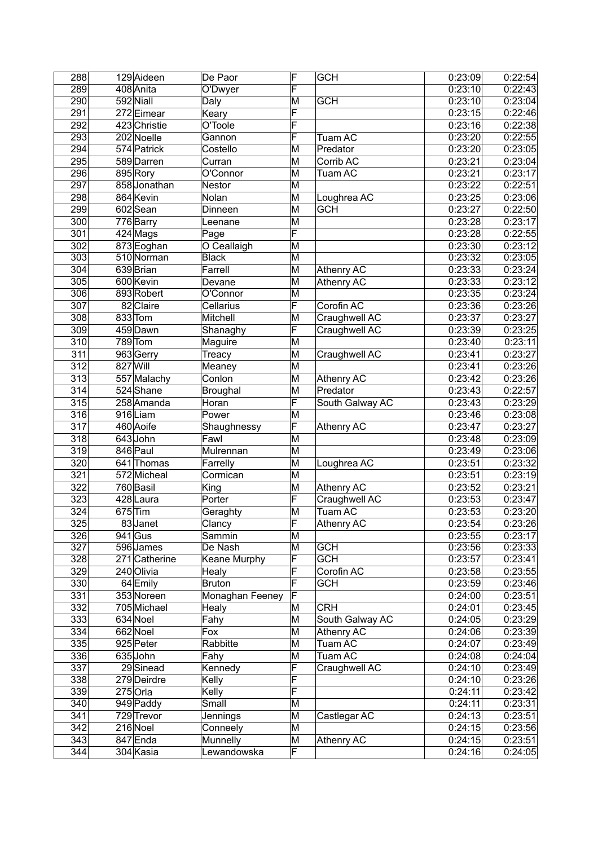| 288 |          | 129 Aideen             | De Paor         | F                       | <b>GCH</b>       | 0:23:09 | 0:22:54 |
|-----|----------|------------------------|-----------------|-------------------------|------------------|---------|---------|
| 289 |          | 408 Anita              | O'Dwyer         | F                       |                  | 0:23:10 | 0:22:43 |
| 290 |          | 592 Niall              | Daly            | M                       | <b>GCH</b>       | 0:23:10 | 0:23:04 |
| 291 |          | 272 Eimear             | Keary           | F                       |                  | 0:23:15 | 0:22:46 |
| 292 |          | 423 Christie           | O'Toole         | F                       |                  | 0:23:16 | 0:22:38 |
| 293 |          | 202 Noelle             | Gannon          | F                       | Tuam AC          | 0:23:20 | 0:22:55 |
| 294 |          | 574 Patrick            | Costello        | $\overline{\mathsf{M}}$ | Predator         | 0:23:20 | 0:23:05 |
| 295 |          | 589 Darren             | Curran          | M                       | Corrib AC        | 0:23:21 | 0:23:04 |
| 296 |          | 895 Rory               | O'Connor        | M                       | Tuam AC          | 0:23:21 | 0:23:17 |
| 297 |          | 858 Jonathan           | Nestor          | M                       |                  | 0:23:22 | 0:22:51 |
| 298 |          | 864 Kevin              | Nolan           | M                       | Loughrea AC      | 0:23:25 | 0:23:06 |
| 299 |          | 602Sean                | Dinneen         | M                       | <b>GCH</b>       | 0:23:27 | 0:22:50 |
| 300 |          | 776 Barry              | Leenane         | M                       |                  | 0:23:28 | 0:23:17 |
| 301 |          | $\overline{4}$ 24 Mags | Page            | F                       |                  | 0:23:28 | 0:22:55 |
| 302 |          | 873 Eoghan             | O Ceallaigh     | М                       |                  | 0:23:30 | 0:23:12 |
| 303 |          | 510 Norman             | <b>Black</b>    | M                       |                  | 0:23:32 | 0:23:05 |
| 304 |          | 639 Brian              | Farrell         | M                       | Athenry AC       | 0:23:33 | 0:23:24 |
| 305 |          | 600 Kevin              |                 | M                       |                  | 0:23:33 | 0:23:12 |
|     |          |                        | Devane          |                         | Athenry AC       |         |         |
| 306 |          | 893 Robert             | O'Connor        | M                       |                  | 0:23:35 | 0:23:24 |
| 307 |          | 82 Claire              | Cellarius       | F                       | Corofin AC       | 0:23:36 | 0:23:26 |
| 308 |          | 833 Tom                | Mitchell        | M                       | Craughwell AC    | 0:23:37 | 0:23:27 |
| 309 |          | 459 Dawn               | Shanaghy        | F                       | Craughwell AC    | 0:23:39 | 0:23:25 |
| 310 |          | 789 Tom                | Maguire         | M                       |                  | 0:23:40 | 0:23:11 |
| 311 |          | 963 Gerry              | Treacy          | M                       | Craughwell AC    | 0:23:41 | 0:23:27 |
| 312 | 827 Will |                        | Meaney          | M                       |                  | 0:23:41 | 0:23:26 |
| 313 |          | 557 Malachy            | Conlon          | M                       | Athenry AC       | 0:23:42 | 0:23:26 |
| 314 |          | 524 Shane              | Broughal        | M                       | Predator         | 0:23:43 | 0:22:57 |
| 315 |          | 258 Amanda             | Horan           | F                       | South Galway AC  | 0:23:43 | 0:23:29 |
| 316 |          | 916Liam                | Power           | M                       |                  | 0:23:46 | 0:23:08 |
| 317 |          | 460 Aoife              | Shaughnessy     | F                       | Athenry AC       | 0:23:47 | 0:23:27 |
| 318 |          | 643John                | Fawl            | M                       |                  | 0:23:48 | 0:23:09 |
| 319 |          | 846 Paul               | Mulrennan       | M                       |                  | 0:23:49 | 0:23:06 |
| 320 |          | 641 Thomas             | Farrelly        | M                       | Loughrea AC      | 0:23:51 | 0:23:32 |
| 321 |          | 572 Micheal            | Cormican        | M                       |                  | 0:23:51 | 0:23:19 |
| 322 |          | $\overline{760}$ Basil | King            | M                       | Athenry AC       | 0:23:52 | 0:23:21 |
| 323 |          | 428 Laura              | Porter          | F                       | Craughwell AC    | 0:23:53 | 0:23:47 |
| 324 |          | $675$ Tim              | Geraghty        | M                       | Tuam AC          | 0:23:53 | 0:23:20 |
| 325 |          | 83Janet                | Clancy          | F                       | Athenry AC       | 0:23:54 | 0:23:26 |
| 326 |          | $941$ Gus              | Sammin          | M                       |                  | 0:23:55 | 0:23:17 |
| 327 |          | 596 James              | De Nash         | M                       | <b>GCH</b>       | 0:23:56 | 0:23:33 |
| 328 |          | 271 Catherine          | Keane Murphy    | F                       | $\overline{GCH}$ | 0:23:57 | 0:23:41 |
| 329 |          | 240 Olivia             | Healy           | F                       | Corofin AC       | 0:23:58 | 0:23:55 |
| 330 |          | 64 Emily               | Bruton          | F                       | <b>GCH</b>       | 0:23:59 | 0:23:46 |
|     |          |                        |                 | F                       |                  |         |         |
| 331 |          | 353 Noreen             | Monaghan Feeney |                         |                  | 0:24:00 | 0:23:51 |
| 332 |          | 705 Michael            | Healy           | M                       | <b>CRH</b>       | 0:24:01 | 0:23:45 |
| 333 |          | 634 Noel               | Fahy            | M                       | South Galway AC  | 0:24:05 | 0:23:29 |
| 334 |          | 662 Noel               | Fox             | M                       | Athenry AC       | 0:24:06 | 0:23:39 |
| 335 |          | 925 Peter              | Rabbitte        | M                       | Tuam AC          | 0:24:07 | 0:23:49 |
| 336 |          | 635 John               | Fahy            | M                       | Tuam AC          | 0:24:08 | 0:24:04 |
| 337 |          | 29 Sinead              | Kennedy         | F                       | Craughwell AC    | 0:24:10 | 0:23:49 |
| 338 |          | 279 Deirdre            | Kelly           | F                       |                  | 0:24:10 | 0:23:26 |
| 339 |          | $275$ Orla             | Kelly           | F                       |                  | 0:24:11 | 0:23:42 |
| 340 |          | 949 Paddy              | Small           | M                       |                  | 0:24:11 | 0:23:31 |
| 341 |          | 729 Trevor             | Jennings        | M                       | Castlegar AC     | 0:24:13 | 0:23:51 |
| 342 |          | 216 Noel               | Conneely        | M                       |                  | 0:24:15 | 0:23:56 |
| 343 |          | 847 Enda               | Munnelly        | M                       | Athenry AC       | 0:24:15 | 0:23:51 |
| 344 |          | 304 Kasia              | Lewandowska     | F                       |                  | 0:24:16 | 0:24:05 |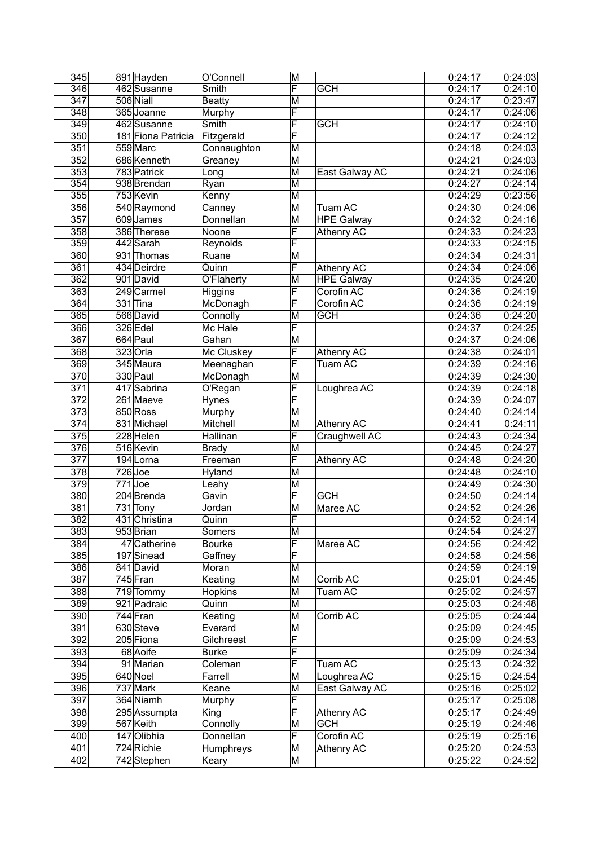| 345              | 891 Hayden         | O'Connell      | M                       |                   | 0:24:17 | 0:24:03 |
|------------------|--------------------|----------------|-------------------------|-------------------|---------|---------|
| 346              | 462 Susanne        | Smith          | F                       | <b>GCH</b>        | 0:24:17 | 0:24:10 |
| 347              | 506 Niall          | <b>Beatty</b>  | M                       |                   | 0:24:17 | 0:23:47 |
| 348              | 365 Joanne         | Murphy         | F                       |                   | 0:24:17 | 0:24:06 |
| 349              | 462 Susanne        | Smith          | F                       | <b>GCH</b>        | 0:24:17 | 0:24:10 |
| 350              | 181 Fiona Patricia | Fitzgerald     | F                       |                   | 0:24:17 | 0:24:12 |
| 351              | 559 Marc           | Connaughton    | M                       |                   | 0:24:18 | 0:24:03 |
| 352              | 686 Kenneth        | Greaney        | M                       |                   | 0:24:21 | 0:24:03 |
| 353              | 783 Patrick        | Long           | M                       | East Galway AC    | 0:24:21 | 0:24:06 |
| 354              | 938 Brendan        | Ryan           | M                       |                   | 0:24:27 | 0:24:14 |
| 355              | 753 Kevin          | Kenny          | M                       |                   | 0:24:29 | 0:23:56 |
| 356              | 540 Raymond        | Canney         | M                       | <b>Tuam AC</b>    | 0:24:30 | 0:24:06 |
| 357              | 609James           | Donnellan      | M                       | <b>HPE Galway</b> | 0:24:32 | 0:24:16 |
| 358              | 386 Therese        | Noone          | F                       | Athenry AC        | 0:24:33 | 0:24:23 |
| 359              | 442 Sarah          | Reynolds       | F                       |                   | 0:24:33 | 0:24:15 |
| 360              | 931 Thomas         | Ruane          | M                       |                   | 0:24:34 | 0:24:31 |
| 361              | 434 Deirdre        | Quinn          | F                       | Athenry AC        | 0:24:34 | 0:24:06 |
| 362              | 901 David          | O'Flaherty     | M                       | <b>HPE Galway</b> | 0:24:35 | 0:24:20 |
| 363              | 249 Carmel         | Higgins        | F                       | Corofin AC        | 0:24:36 | 0:24:19 |
| 364              | $331$ Tina         | McDonagh       | F                       | Corofin AC        | 0:24:36 | 0:24:19 |
| 365              | 566 David          | Connolly       | M                       | <b>GCH</b>        | 0:24:36 | 0:24:20 |
| 366              | 326 Edel           | Mc Hale        | F                       |                   | 0:24:37 | 0:24:25 |
| 367              | 664 Paul           | Gahan          | M                       |                   | 0:24:37 | 0:24:06 |
| 368              | $323$ Orla         |                | F                       |                   | 0:24:38 |         |
|                  |                    | Mc Cluskey     |                         | Athenry AC        |         | 0:24:01 |
| 369              | 345 Maura          | Meenaghan      | F                       | Tuam AC           | 0:24:39 | 0:24:16 |
| 370              | 330 Paul           | McDonagh       | M                       |                   | 0:24:39 | 0:24:30 |
| 371              | 417 Sabrina        | O'Regan        | F                       | Loughrea AC       | 0:24:39 | 0:24:18 |
| 372              | 261 Maeve          | Hynes          | F                       |                   | 0:24:39 | 0:24:07 |
| 373              | 850 Ross           | Murphy         | M                       |                   | 0:24:40 | 0:24:14 |
| 374              | 831 Michael        | Mitchell       | M                       | Athenry AC        | 0:24:41 | 0:24:11 |
| 375              | 228 Helen          | Hallinan       | F                       | Craughwell AC     | 0:24:43 | 0:24:34 |
| 376              | 516 Kevin          | <b>Brady</b>   | M                       |                   | 0:24:45 | 0:24:27 |
| $\overline{377}$ | 194 Lorna          | Freeman        | F                       | Athenry AC        | 0:24:48 | 0:24:20 |
| 378              | $726$ Joe          | Hyland         | M                       |                   | 0:24:48 | 0:24:10 |
| 379              | $771$ Joe          | Leahy          | M                       |                   | 0:24:49 | 0:24:30 |
| 380              | 204 Brenda         | Gavin          | F                       | <b>GCH</b>        | 0:24:50 | 0:24:14 |
| 381              | 731 Tony           | Jordan         | M                       | Maree AC          | 0:24:52 | 0:24:26 |
| 382              | 431 Christina      | Quinn          | F                       |                   | 0:24:52 | 0:24:14 |
| 383              | 953 Brian          | Somers         | $\overline{\mathsf{M}}$ |                   | 0:24:54 | 0:24:27 |
| 384              | 47 Catherine       | <b>Bourke</b>  | F                       | Maree AC          | 0:24:56 | 0:24:42 |
| 385              | 197 Sinead         | Gaffney        | F                       |                   | 0:24:58 | 0:24:56 |
| 386              | 841 David          | Moran          | M                       |                   | 0:24:59 | 0:24:19 |
| 387              | 745 Fran           | Keating        | M                       | Corrib AC         | 0:25:01 | 0:24:45 |
| 388              | 719 Tommy          | <b>Hopkins</b> | M                       | Tuam AC           | 0:25:02 | 0:24:57 |
| 389              | 921 Padraic        | Quinn          | M                       |                   | 0:25:03 | 0:24:48 |
| 390              | $744$ Fran         | Keating        | M                       | Corrib AC         | 0:25:05 | 0:24:44 |
| 391              | 630 Steve          | Everard        | M                       |                   | 0:25:09 | 0:24:45 |
| 392              | 205 Fiona          | Gilchreest     | F                       |                   | 0:25:09 | 0:24:53 |
| 393              | 68 Aoife           | <b>Burke</b>   | F                       |                   | 0:25:09 | 0:24:34 |
| 394              | 91 Marian          | Coleman        | $\overline{\mathsf{F}}$ | Tuam AC           | 0:25:13 | 0:24:32 |
| 395              | 640 Noel           | Farrell        | M                       | Loughrea AC       | 0:25:15 | 0:24:54 |
| 396              | 737 Mark           | Keane          | M                       | East Galway AC    | 0:25:16 | 0:25:02 |
| 397              | 364 Niamh          | Murphy         | F                       |                   | 0:25:17 | 0:25:08 |
| 398              | 295 Assumpta       | King           | F                       | Athenry AC        | 0:25:17 | 0:24:49 |
| 399              | 567 Keith          | Connolly       | M                       | <b>GCH</b>        | 0:25:19 | 0:24:46 |
| 400              | 147 Olibhia        | Donnellan      | F                       | Corofin AC        | 0:25:19 | 0:25:16 |
| 401              | 724 Richie         | Humphreys      | M                       | Athenry AC        | 0:25:20 | 0:24:53 |
|                  |                    |                |                         |                   |         |         |
| 402              | 742 Stephen        | Keary          | M                       |                   | 0:25:22 | 0:24:52 |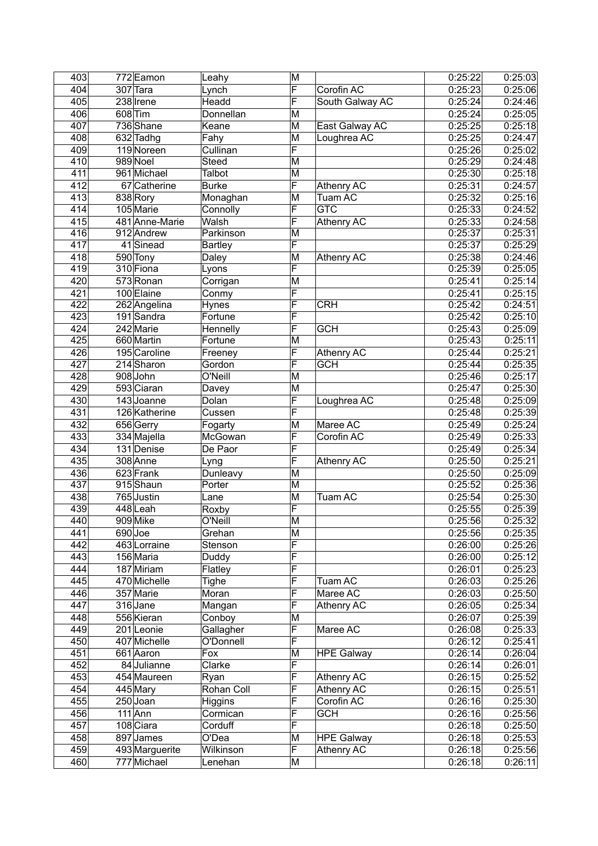| 403 | 772 Eamon      | Leahy          | M                       |                         | 0:25:22 | 0:25:03 |
|-----|----------------|----------------|-------------------------|-------------------------|---------|---------|
| 404 | 307 Tara       | Lynch          | F                       | Corofin AC              | 0:25:23 | 0:25:06 |
| 405 | 238 Irene      | Headd          | F                       | South Galway AC         | 0:25:24 | 0:24:46 |
| 406 | 608 Tim        | Donnellan      | M                       |                         | 0:25:24 | 0:25:05 |
| 407 | 736 Shane      | Keane          | M                       | East Galway AC          | 0:25:25 | 0:25:18 |
| 408 | 632 Tadhg      | Fahy           | M                       | Loughrea AC             | 0:25:25 | 0:24:47 |
| 409 | 119 Noreen     | Cullinan       | F                       |                         | 0:25:26 | 0:25:02 |
| 410 | 989 Noel       | Steed          | M                       |                         | 0:25:29 | 0:24:48 |
| 411 | 961 Michael    | Talbot         | M                       |                         | 0:25:30 | 0:25:18 |
| 412 | 67 Catherine   | Burke          | F                       | Athenry AC              | 0:25:31 | 0:24:57 |
| 413 | 838 Rory       | Monaghan       | M                       | <b>Tuam AC</b>          | 0:25:32 | 0:25:16 |
| 414 | 105 Marie      | Connolly       | F                       | $\overline{\text{GTC}}$ | 0:25:33 | 0:24:52 |
| 415 | 481 Anne-Marie | Walsh          | F                       | Athenry AC              | 0:25:33 | 0:24:58 |
| 416 | 912 Andrew     | Parkinson      | M                       |                         | 0:25:37 | 0:25:31 |
| 417 | 41Sinead       | Bartley        | F                       |                         | 0:25:37 | 0:25:29 |
| 418 | 590 Tony       | Daley          | M                       | Athenry AC              | 0:25:38 | 0:24:46 |
| 419 | 310 Fiona      | Lyons          | F                       |                         | 0:25:39 | 0:25:05 |
| 420 | 573 Ronan      |                | M                       |                         | 0:25:41 | 0:25:14 |
|     |                | Corrigan       |                         |                         |         |         |
| 421 | 100 Elaine     | Conmy          | F                       |                         | 0:25:41 | 0:25:15 |
| 422 | 262 Angelina   | <b>Hynes</b>   | F                       | <b>CRH</b>              | 0:25:42 | 0:24:51 |
| 423 | $191$ Sandra   | Fortune        | F                       |                         | 0:25:42 | 0:25:10 |
| 424 | 242 Marie      | Hennelly       | F                       | <b>GCH</b>              | 0:25:43 | 0:25:09 |
| 425 | 660 Martin     | Fortune        | M                       |                         | 0:25:43 | 0:25:11 |
| 426 | 195 Caroline   | Freeney        | F                       | Athenry AC              | 0:25:44 | 0:25:21 |
| 427 | 214 Sharon     | Gordon         | F                       | <b>GCH</b>              | 0:25:44 | 0:25:35 |
| 428 | 908 John       | O'Neill        | M                       |                         | 0:25:46 | 0:25:17 |
| 429 | 593 Ciaran     | Davey          | M                       |                         | 0:25:47 | 0:25:30 |
| 430 | 143 Joanne     | Dolan          | F                       | Loughrea AC             | 0:25:48 | 0:25:09 |
| 431 | 126 Katherine  | Cussen         | F                       |                         | 0:25:48 | 0:25:39 |
| 432 | 656 Gerry      | Fogarty        | M                       | Maree AC                | 0:25:49 | 0:25:24 |
| 433 | 334 Majella    | McGowan        | F                       | Corofin AC              | 0:25:49 | 0:25:33 |
| 434 | 131 Denise     | De Paor        | F                       |                         | 0:25:49 | 0:25:34 |
| 435 | 308 Anne       | Lyng           | F                       | Athenry AC              | 0:25:50 | 0:25:21 |
| 436 | 623 Frank      |                | M                       |                         | 0:25:50 | 0:25:09 |
|     |                | Dunleavy       |                         |                         |         |         |
| 437 | 915Shaun       | Porter         | M                       |                         | 0:25:52 | 0:25:36 |
| 438 | 765 Justin     | Lane           | M                       | Tuam AC                 | 0:25:54 | 0:25:30 |
| 439 | 448Leah        | Roxby          | F                       |                         | 0:25:55 | 0:25:39 |
| 440 | 909 Mike       | O'Neill        | $\overline{\mathsf{M}}$ |                         | 0:25:56 | 0:25:32 |
| 441 | $690$ Joe      | Grehan         | M                       |                         | 0:25:56 | 0:25:35 |
| 442 | 463 Lorraine   | Stenson        | F                       |                         | 0:26:00 | 0:25:26 |
| 443 | 156 Maria      | Duddy          | F                       |                         | 0:26:00 | 0:25:12 |
| 444 | 187 Miriam     | Flatley        | F                       |                         | 0:26:01 | 0:25:23 |
| 445 | 470 Michelle   | Tighe          | F                       | Tuam AC                 | 0:26:03 | 0:25:26 |
| 446 | 357 Marie      | Moran          | F                       | Maree AC                | 0:26:03 | 0:25:50 |
| 447 | 316 Jane       | Mangan         | F                       | <b>Athenry AC</b>       | 0:26:05 | 0:25:34 |
| 448 | 556 Kieran     | Conboy         | M                       |                         | 0:26:07 | 0:25:39 |
| 449 | 201 Leonie     | Gallagher      | F                       | Maree AC                | 0:26:08 | 0:25:33 |
| 450 | 407 Michelle   | O'Donnell      | F                       |                         | 0:26:12 | 0:25:41 |
| 451 | 661 Aaron      | Fox            | M                       | <b>HPE Galway</b>       | 0:26:14 | 0:26:04 |
| 452 | 84 Julianne    | Clarke         | F                       |                         | 0:26:14 | 0:26:01 |
|     |                |                | F                       |                         |         |         |
| 453 | 454 Maureen    | Ryan           |                         | Athenry AC              | 0:26:15 | 0:25:52 |
| 454 | 445 Mary       | Rohan Coll     | F                       | Athenry AC              | 0:26:15 | 0:25:51 |
| 455 | $250$ Joan     | <b>Higgins</b> | F                       | Corofin AC              | 0:26:16 | 0:25:30 |
| 456 | $111$ Ann      | Cormican       | F                       | <b>GCH</b>              | 0:26:16 | 0:25:56 |
| 457 | 108 Ciara      | Corduff        | F                       |                         | 0:26:18 | 0:25:50 |
| 458 | 897 James      | O'Dea          | M                       | <b>HPE Galway</b>       | 0:26:18 | 0:25:53 |
| 459 | 493 Marguerite | Wilkinson      | F                       | Athenry AC              | 0:26:18 | 0:25:56 |
| 460 | 777 Michael    | Lenehan        | M                       |                         | 0:26:18 | 0:26:11 |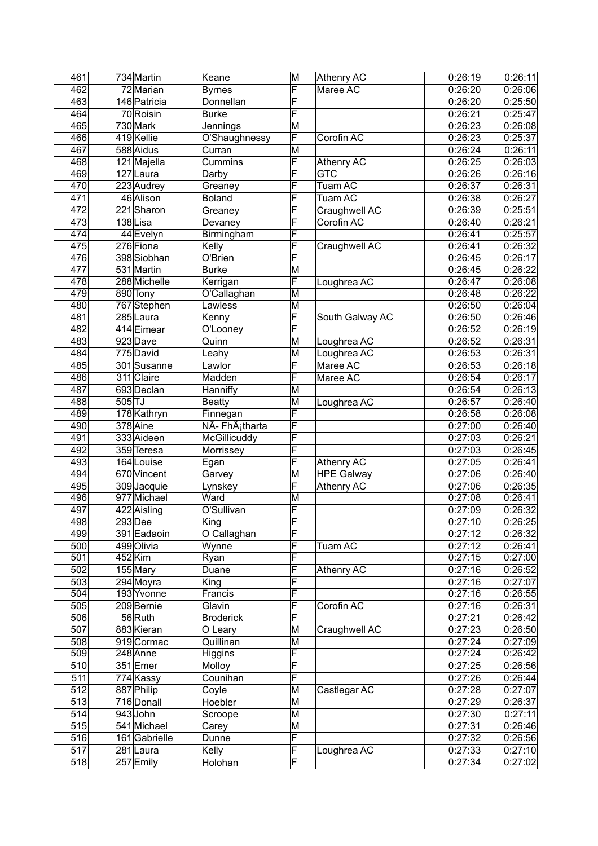| 461 |          | 734 Martin    | Keane                       | M                       | Athenry AC              | 0:26:19 | 0:26:11 |
|-----|----------|---------------|-----------------------------|-------------------------|-------------------------|---------|---------|
| 462 |          | 72 Marian     | <b>Byrnes</b>               | F                       | Maree AC                | 0:26:20 | 0:26:06 |
| 463 |          | 146 Patricia  | Donnellan                   | F                       |                         | 0:26:20 | 0:25:50 |
| 464 |          | 70 Roisin     | Burke                       | F                       |                         | 0:26:21 | 0:25:47 |
| 465 |          | 730 Mark      | Jennings                    | M                       |                         | 0:26:23 | 0:26:08 |
| 466 |          | 419 Kellie    | O'Shaughnessy               | F                       | Corofin AC              | 0:26:23 | 0:25:37 |
| 467 |          | 588 Aidus     | Curran                      | M                       |                         | 0:26:24 | 0:26:11 |
| 468 |          | 121 Majella   | Cummins                     | F                       | Athenry AC              | 0:26:25 | 0:26:03 |
| 469 |          | 127 Laura     | Darby                       | F                       | $\overline{\text{GTC}}$ | 0:26:26 | 0:26:16 |
| 470 |          | 223 Audrey    | Greaney                     | F                       | Tuam AC                 | 0:26:37 | 0:26:31 |
| 471 |          | 46 Alison     | <b>Boland</b>               | F                       | Tuam AC                 | 0:26:38 | 0:26:27 |
| 472 |          | 221 Sharon    | Greaney                     | F                       | Craughwell AC           | 0:26:39 | 0:25:51 |
| 473 |          | 138Lisa       | Devaney                     | F                       | Corofin AC              | 0:26:40 | 0:26:21 |
| 474 |          | 44 Evelyn     | Birmingham                  | F                       |                         | 0:26:41 | 0:25:57 |
| 475 |          | 276 Fiona     | Kelly                       | F                       | Craughwell AC           | 0:26:41 | 0:26:32 |
| 476 |          | 398 Siobhan   | O'Brien                     | F                       |                         | 0:26:45 | 0:26:17 |
| 477 |          | 531 Martin    | Burke                       | $\overline{\mathsf{M}}$ |                         | 0:26:45 | 0:26:22 |
| 478 |          | 288 Michelle  | Kerrigan                    | F                       | Loughrea AC             | 0:26:47 | 0:26:08 |
| 479 |          | 890 Tony      | O'Callaghan                 | M                       |                         | 0:26:48 | 0:26:22 |
| 480 |          | 767 Stephen   | Lawless                     | M                       |                         | 0:26:50 | 0:26:04 |
| 481 |          | $285$ Laura   | Kenny                       | F                       | South Galway AC         | 0:26:50 | 0:26:46 |
| 482 |          | 414 Eimear    | O'Looney                    | F                       |                         | 0:26:52 | 0:26:19 |
| 483 |          | 923 Dave      | Quinn                       | M                       | Loughrea AC             | 0:26:52 | 0:26:31 |
| 484 |          | 775 David     | Leahy                       | M                       | Loughrea AC             | 0:26:53 | 0:26:31 |
| 485 |          | 301 Susanne   | Lawlor                      | F                       | Maree AC                | 0:26:53 | 0:26:18 |
| 486 |          | 311 Claire    | Madden                      | F                       | Maree AC                | 0:26:54 | 0:26:17 |
| 487 |          | 693 Declan    | Hanniffy                    | M                       |                         | 0:26:54 | 0:26:13 |
| 488 | $505$ TJ |               | Beatty                      | M                       | Loughrea AC             | 0:26:57 | 0:26:40 |
| 489 |          | 178 Kathryn   | Finnegan                    | F                       |                         | 0:26:58 | 0:26:08 |
| 490 |          | 378 Aine      | NÃ- FhÃ <sub>i</sub> tharta | F                       |                         | 0:27:00 | 0:26:40 |
| 491 |          | 333 Aideen    | McGillicuddy                | F                       |                         | 0:27:03 | 0:26:21 |
| 492 |          | 359 Teresa    | Morrissey                   | F                       |                         | 0:27:03 | 0:26:45 |
| 493 |          | 164 Louise    | Egan                        | F                       | Athenry AC              | 0:27:05 | 0:26:41 |
| 494 |          | 670 Vincent   | Garvey                      | M                       | <b>HPE Galway</b>       | 0:27:06 | 0:26:40 |
| 495 |          | 309 Jacquie   | Lynskey                     | F                       | Athenry AC              | 0:27:06 | 0:26:35 |
| 496 |          | 977 Michael   | Ward                        | M                       |                         | 0:27:08 | 0:26:41 |
| 497 |          | 422 Aisling   | O'Sullivan                  | F                       |                         | 0:27:09 | 0:26:32 |
| 498 |          | $293$ Dee     | King                        | F                       |                         | 0:27:10 | 0:26:25 |
| 499 |          | 391 Eadaoin   | O Callaghan                 | F                       |                         | 0:27:12 | 0:26:32 |
| 500 |          | 499 Olivia    | Wynne                       | F                       | Tuam AC                 | 0:27:12 | 0:26:41 |
| 501 |          | 452Kim        | Ryan                        | F                       |                         | 0:27:15 | 0:27:00 |
| 502 |          | $155$ Mary    | Duane                       | F                       | Athenry AC              | 0:27:16 | 0:26:52 |
| 503 |          | 294 Moyra     | King                        | F                       |                         | 0:27:16 | 0:27:07 |
| 504 |          | 193 Yvonne    | Francis                     | F                       |                         | 0:27:16 | 0:26:55 |
| 505 |          | 209 Bernie    | Glavin                      | F                       | Corofin AC              | 0:27:16 | 0:26:31 |
| 506 |          | 56 Ruth       | Broderick                   | F                       |                         | 0:27:21 | 0:26:42 |
| 507 |          | 883 Kieran    | O Leary                     | M                       | Craughwell AC           | 0:27:23 | 0:26:50 |
| 508 |          | 919 Cormac    | Quillinan                   | M                       |                         | 0:27:24 | 0:27:09 |
| 509 |          | 248 Anne      | <b>Higgins</b>              | F                       |                         | 0:27:24 | 0:26:42 |
| 510 |          | 351 Emer      | Molloy                      | F                       |                         | 0:27:25 | 0:26:56 |
| 511 |          | 774 Kassy     | Counihan                    | F                       |                         | 0:27:26 | 0:26:44 |
| 512 |          | 887 Philip    | Coyle                       | M                       | Castlegar AC            | 0:27:28 | 0:27:07 |
| 513 |          | 716 Donall    | Hoebler                     | M                       |                         | 0:27:29 | 0:26:37 |
| 514 |          | 943John       | Scroope                     | M                       |                         | 0:27:30 | 0:27:11 |
| 515 |          | 541 Michael   | Carey                       | M                       |                         | 0:27:31 | 0:26:46 |
| 516 |          | 161 Gabrielle | Dunne                       | F                       |                         | 0:27:32 | 0:26:56 |
| 517 |          | 281 Laura     | Kelly                       | F                       | Loughrea AC             | 0:27:33 | 0:27:10 |
| 518 |          | 257 Emily     | Holohan                     | F                       |                         | 0:27:34 | 0:27:02 |
|     |          |               |                             |                         |                         |         |         |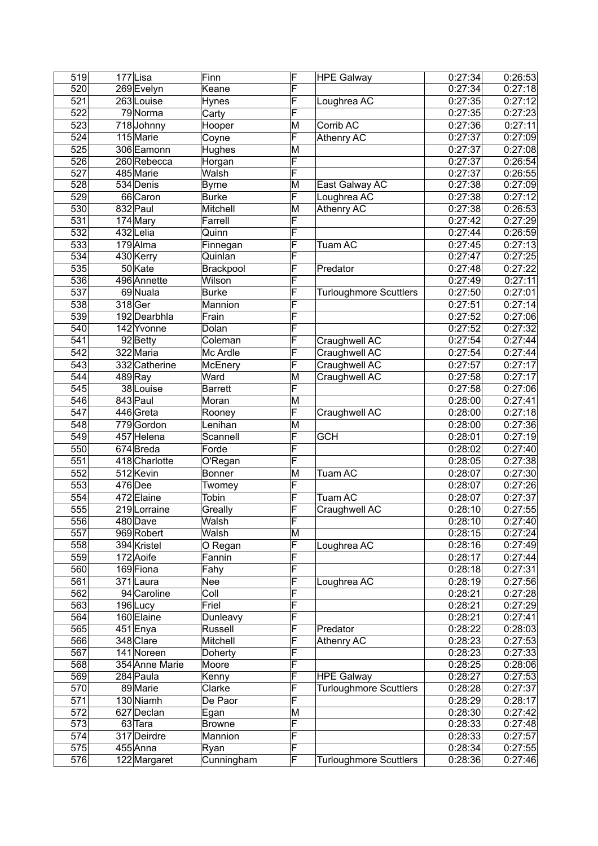| 519 | 177Lisa        | Finn                     | F | <b>HPE Galway</b>             | 0:27:34            | 0:26:53 |
|-----|----------------|--------------------------|---|-------------------------------|--------------------|---------|
| 520 | 269 Evelyn     | Keane                    | F |                               | 0:27:34            | 0:27:18 |
| 521 | 263 Louise     | Hynes                    | F | Loughrea AC                   | 0:27:35            | 0:27:12 |
| 522 | 79 Norma       | Carty                    | F |                               | 0:27:35            | 0:27:23 |
| 523 | 718Johnny      | Hooper                   | M | Corrib AC                     | 0:27:36            | 0:27:11 |
| 524 | 115 Marie      | Coyne                    | F | Athenry AC                    | 0:27:37            | 0:27:09 |
| 525 | 306 Eamonn     | Hughes                   | M |                               | 0:27:37            | 0:27:08 |
| 526 | 260 Rebecca    | Horgan                   | F |                               | 0:27:37            | 0:26:54 |
| 527 | 485 Marie      | Walsh                    | F |                               | 0:27:37            | 0:26:55 |
| 528 | 534 Denis      | Byrne                    | M | East Galway AC                | 0:27:38            | 0:27:09 |
| 529 | 66 Caron       | Burke                    | F | Loughrea AC                   | 0:27:38            | 0:27:12 |
| 530 | 832 Paul       | Mitchell                 | M | Athenry AC                    | 0:27:38            | 0:26:53 |
| 531 | 174 Mary       | Farrell                  | F |                               | 0:27:42            | 0:27:29 |
| 532 | 432 Lelia      | Quinn                    | F |                               | 0:27:44            | 0:26:59 |
| 533 | $179$ Alma     |                          | F | Tuam AC                       | 0:27:45            | 0:27:13 |
| 534 | 430 Kerry      | Finnegan<br>Quinlan      | F |                               | 0:27:47            | 0:27:25 |
|     |                |                          | F |                               |                    | 0:27:22 |
| 535 | 50 Kate        | Brackpool<br>Wilson      |   | Predator                      | 0:27:48<br>0:27:49 |         |
| 536 | 496 Annette    |                          | F |                               |                    | 0:27:11 |
| 537 | 69 Nuala       | Burke                    | F | <b>Turloughmore Scuttlers</b> | 0:27:50            | 0:27:01 |
| 538 | 318 Ger        | Mannion                  | F |                               | 0:27:51            | 0:27:14 |
| 539 | 192 Dearbhla   | Frain                    | F |                               | 0:27:52            | 0:27:06 |
| 540 | 142 Yvonne     | Dolan                    | F |                               | 0:27:52            | 0:27:32 |
| 541 | 92 Betty       | Coleman                  | F | Craughwell AC                 | 0:27:54            | 0:27:44 |
| 542 | 322 Maria      | Mc Ardle                 | F | Craughwell AC                 | 0:27:54            | 0:27:44 |
| 543 | 332 Catherine  | McEnery                  | F | Craughwell AC                 | 0:27:57            | 0:27:17 |
| 544 | $489$ Ray      | Ward                     | M | Craughwell AC                 | 0:27:58            | 0:27:17 |
| 545 | 38 Louise      | Barrett                  | F |                               | 0:27:58            | 0:27:06 |
| 546 | 843 Paul       | Moran                    | M |                               | 0:28:00            | 0:27:41 |
| 547 | 446 Greta      | Rooney                   | F | Craughwell AC                 | 0:28:00            | 0:27:18 |
| 548 | 779Gordon      | Lenihan                  | M |                               | 0:28:00            | 0:27:36 |
| 549 | 457 Helena     | Scannell                 | F | <b>GCH</b>                    | 0:28:01            | 0:27:19 |
| 550 | 674Breda       | Forde                    | F |                               | 0:28:02            | 0:27:40 |
| 551 | 418 Charlotte  | O'Regan                  | F |                               | 0:28:05            | 0:27:38 |
| 552 | 512 Kevin      | Bonner                   | M | Tuam AC                       | 0:28:07            | 0:27:30 |
| 553 | 476 Dee        | Twomey                   | F |                               | 0:28:07            | 0:27:26 |
| 554 | 472 Elaine     | Tobin                    | F | <b>Tuam AC</b>                | 0:28:07            | 0:27:37 |
| 555 | 219 Lorraine   | Greally                  | F | Craughwell AC                 | 0:28:10            | 0:27:55 |
| 556 | 480 Dave       | Walsh                    | F |                               | 0:28:10            | 0:27:40 |
| 557 | 969 Robert     | Walsh                    | M |                               | 0:28:15            | 0:27:24 |
| 558 | 394 Kristel    | O Regan                  | F | Loughrea AC                   | 0:28:16            | 0:27:49 |
| 559 | 172 Aoife      | Fannin                   | F |                               | 0:28:17            | 0:27:44 |
| 560 | 169 Fiona      | Fahy                     | F |                               | 0:28:18            | 0:27:31 |
| 561 | 371 Laura      | Nee                      | F | Loughrea AC                   | 0:28:19            | 0:27:56 |
| 562 | 94 Caroline    | $\overline{\text{Coll}}$ | F |                               | 0:28:21            | 0:27:28 |
| 563 | $196$ Lucy     | Friel                    | F |                               | 0:28:21            | 0:27:29 |
| 564 | 160 Elaine     | Dunleavy                 | F |                               | 0:28:21            | 0:27:41 |
| 565 | 451 Enya       | Russell                  | F | Predator                      | 0:28:22            | 0:28:03 |
| 566 | 348 Clare      | Mitchell                 | F | Athenry AC                    | 0:28:23            | 0:27:53 |
| 567 | 141 Noreen     | Doherty                  | F |                               | 0:28:23            | 0:27:33 |
| 568 | 354 Anne Marie | Moore                    | F |                               | 0:28:25            | 0:28:06 |
| 569 | 284 Paula      | Kenny                    | F | <b>HPE Galway</b>             | 0:28:27            | 0:27:53 |
| 570 | 89 Marie       | Clarke                   | F | <b>Turloughmore Scuttlers</b> | 0:28:28            | 0:27:37 |
| 571 | 130 Niamh      | De Paor                  | F |                               | 0:28:29            | 0:28:17 |
| 572 | 627 Declan     | Egan                     | M |                               | 0:28:30            | 0:27:42 |
| 573 | 63 Tara        | <b>Browne</b>            | F |                               | 0:28:33            | 0:27:48 |
| 574 | 317 Deirdre    | Mannion                  | F |                               | 0:28:33            | 0:27:57 |
| 575 | 455 Anna       | Ryan                     | F |                               | 0:28:34            | 0:27:55 |
| 576 | 122 Margaret   | Cunningham               | F | <b>Turloughmore Scuttlers</b> | 0:28:36            | 0:27:46 |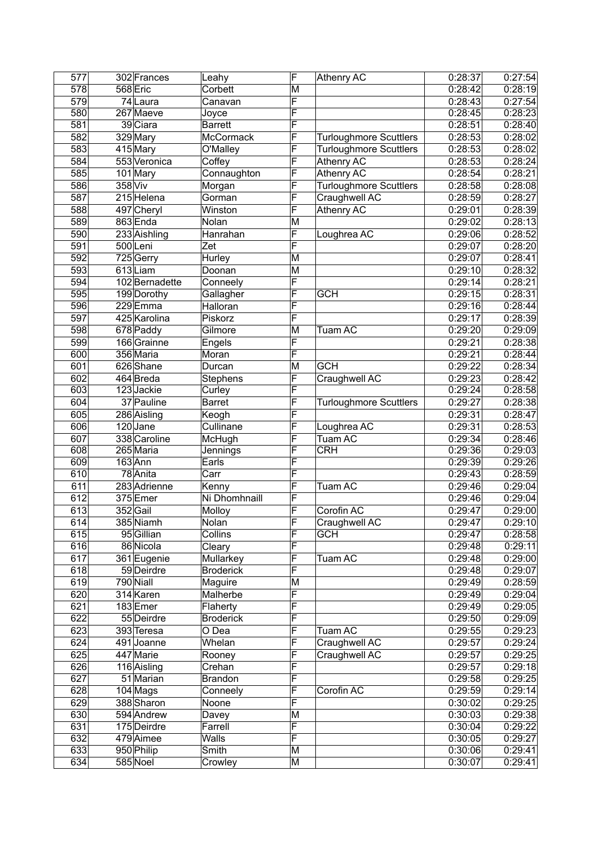| 577        |         | 302 Frances            | Leahy                    | F                       | Athenry AC                    | 0:28:37 | 0:27:54 |
|------------|---------|------------------------|--------------------------|-------------------------|-------------------------------|---------|---------|
| 578        |         | 568 Eric               | Corbett                  | $\overline{\mathsf{M}}$ |                               | 0:28:42 | 0:28:19 |
| 579        |         | 74 Laura               | Canavan                  | F                       |                               | 0:28:43 | 0:27:54 |
| 580        |         | 267 Maeve              | Joyce                    | F                       |                               | 0:28:45 | 0:28:23 |
| 581        |         | 39 Ciara               | Barrett                  | F                       |                               | 0:28:51 | 0:28:40 |
| 582        |         | 329 Mary               | McCormack                | F                       | <b>Turloughmore Scuttlers</b> | 0:28:53 | 0:28:02 |
| 583        |         | 415 Mary               | O'Malley                 | F                       | <b>Turloughmore Scuttlers</b> | 0:28:53 | 0:28:02 |
| 584        |         | 553 Veronica           | Coffey                   | F                       | Athenry AC                    | 0:28:53 | 0:28:24 |
| 585        |         | 101 Mary               | Connaughton              | F                       | Athenry AC                    | 0:28:54 | 0:28:21 |
| 586        | 358 Viv |                        | Morgan                   | F                       | <b>Turloughmore Scuttlers</b> | 0:28:58 | 0:28:08 |
| 587        |         | 215 Helena             | Gorman                   | F                       | Craughwell AC                 | 0:28:59 | 0:28:27 |
| 588        |         | 497 Cheryl             | Winston                  | F                       | Athenry AC                    | 0:29:01 | 0:28:39 |
| 589        |         | 863 Enda               | Nolan                    | M                       |                               | 0:29:02 | 0:28:13 |
| 590        |         | 233 Aishling           | Hanrahan                 | F                       | Loughrea AC                   | 0:29:06 | 0:28:52 |
| 591        |         | 500Leni                | Zet                      | F                       |                               | 0:29:07 | 0:28:20 |
| 592        |         | $\overline{725}$ Gerry | Hurley                   | $\overline{\mathsf{M}}$ |                               | 0:29:07 | 0:28:41 |
| 593        |         | 613Liam                | Doonan                   | M                       |                               | 0:29:10 | 0:28:32 |
|            |         | 102 Bernadette         |                          | F                       |                               | 0:29:14 | 0:28:21 |
| 594<br>595 |         |                        | Conneely                 | F                       | <b>GCH</b>                    |         |         |
|            |         | 199 Dorothy            | Gallagher                |                         |                               | 0:29:15 | 0:28:31 |
| 596        |         | 229Emma                | Halloran                 | F                       |                               | 0:29:16 | 0:28:44 |
| 597        |         | 425 Karolina           | Piskorz                  | F                       |                               | 0:29:17 | 0:28:39 |
| 598        |         | 678 Paddy              | Gilmore                  | M                       | Tuam AC                       | 0:29:20 | 0:29:09 |
| 599        |         | 166 Grainne            | Engels                   | F                       |                               | 0:29:21 | 0:28:38 |
| 600        |         | 356 Maria              | Moran                    | F                       |                               | 0:29:21 | 0:28:44 |
| 601        |         | 626Shane               | Durcan                   | M                       | <b>GCH</b>                    | 0:29:22 | 0:28:34 |
| 602        |         | $464$ Breda            | Stephens                 | F                       | Craughwell AC                 | 0:29:23 | 0:28:42 |
| 603        |         | 123 Jackie             | Curley                   | F                       |                               | 0:29:24 | 0:28:58 |
| 604        |         | 37 Pauline             | <b>Barret</b>            | F                       | <b>Turloughmore Scuttlers</b> | 0:29:27 | 0:28:38 |
| 605        |         | 286 Aisling            | Keogh                    | F                       |                               | 0:29:31 | 0:28:47 |
| 606        |         | $120$ Jane             | Cullinane                | F                       | Loughrea AC                   | 0:29:31 | 0:28:53 |
| 607        |         | 338 Caroline           | McHugh                   | F                       | Tuam AC                       | 0:29:34 | 0:28:46 |
| 608        |         | $265$ Maria            | Jennings                 | F                       | <b>CRH</b>                    | 0:29:36 | 0:29:03 |
| 609        |         | 163 Ann                | Earls                    | F                       |                               | 0:29:39 | 0:29:26 |
| 610        |         | 78 Anita               | $\overline{\text{Carr}}$ | F                       |                               | 0:29:43 | 0:28:59 |
| 611        |         | 283 Adrienne           | Kenny                    | F                       | Tuam AC                       | 0:29:46 | 0:29:04 |
| 612        |         | 375 Emer               | Ni Dhomhnaill            | F                       |                               | 0:29:46 | 0:29:04 |
| 613        |         | 352Gail                | Molloy                   | F                       | Corofin AC                    | 0:29:47 | 0:29:00 |
| 614        |         | 385 Niamh              | Nolan                    | F                       | Craughwell AC                 | 0:29:47 | 0:29:10 |
| 615        |         | 95 Gillian             | Collins                  | F                       | <b>GCH</b>                    | 0:29:47 | 0:28:58 |
| 616        |         | 86 Nicola              | Cleary                   | F                       |                               | 0:29:48 | 0:29:11 |
| 617        |         | 361 Eugenie            | Mullarkey                | F                       | Tuam AC                       | 0:29:48 | 0:29:00 |
| 618        |         | 59 Deirdre             | <b>Broderick</b>         | F                       |                               | 0:29:48 | 0:29:07 |
| 619        |         | 790 Niall              | Maguire                  | M                       |                               | 0:29:49 | 0:28:59 |
| 620        |         | 314 Karen              | Malherbe                 | F                       |                               | 0:29:49 | 0:29:04 |
| 621        |         | 183Emer                | Flaherty                 | F                       |                               | 0:29:49 | 0:29:05 |
| 622        |         | 55 Deirdre             | <b>Broderick</b>         | F                       |                               | 0:29:50 | 0:29:09 |
| 623        |         | 393 Teresa             | O Dea                    | F                       | Tuam AC                       | 0:29:55 | 0:29:23 |
| 624        |         | 491 Joanne             | Whelan                   | F                       | Craughwell AC                 | 0:29:57 | 0:29:24 |
| 625        |         |                        |                          | F                       |                               |         |         |
|            |         | 447 Marie              | Rooney                   |                         | Craughwell AC                 | 0:29:57 | 0:29:25 |
| 626        |         | 116 Aisling            | Crehan                   | F                       |                               | 0:29:57 | 0:29:18 |
| 627        |         | 51 Marian              | <b>Brandon</b>           | F                       |                               | 0:29:58 | 0:29:25 |
| 628        |         | $104$ Mags             | Conneely                 | F                       | Corofin AC                    | 0:29:59 | 0:29:14 |
| 629        |         | 388 Sharon             | Noone                    | F                       |                               | 0:30:02 | 0:29:25 |
| 630        |         | 594 Andrew             | Davey                    | M                       |                               | 0:30:03 | 0:29:38 |
| 631        |         | 175 Deirdre            | Farrell                  | F                       |                               | 0:30:04 | 0:29:22 |
| 632        |         | 479 Aimee              | Walls                    | F                       |                               | 0:30:05 | 0:29:27 |
| 633        |         | 950 Philip             | Smith                    | M                       |                               | 0:30:06 | 0:29:41 |
| 634        |         | 585 Noel               | Crowley                  | M                       |                               | 0:30:07 | 0:29:41 |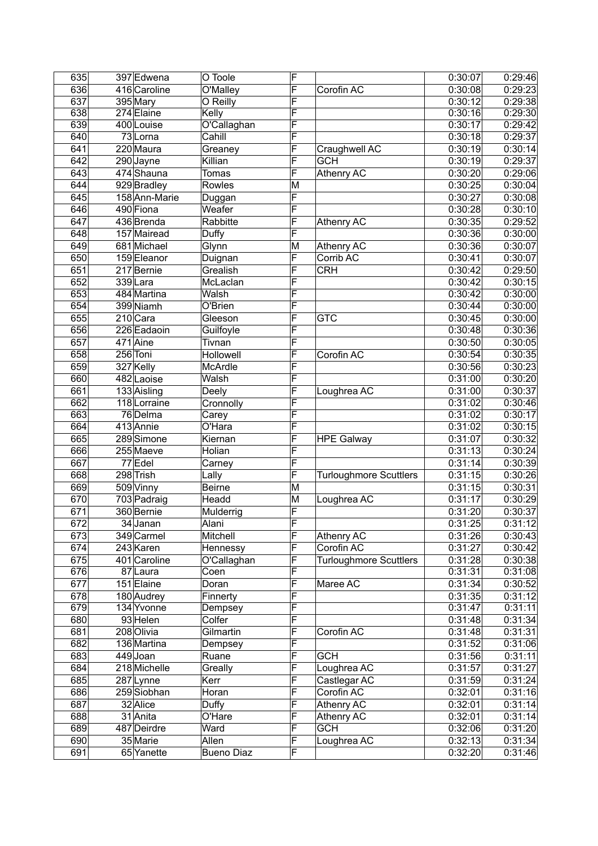| 635 | 397 Edwena    | O Toole           | F |                               | 0:30:07 | 0:29:46 |
|-----|---------------|-------------------|---|-------------------------------|---------|---------|
| 636 | 416 Caroline  | O'Malley          | F | Corofin AC                    | 0:30:08 | 0:29:23 |
| 637 | 395 Mary      | O Reilly          | F |                               | 0:30:12 | 0:29:38 |
| 638 | 274 Elaine    | Kelly             | F |                               | 0:30:16 | 0:29:30 |
| 639 | 400 Louise    | O'Callaghan       | F |                               | 0:30:17 | 0:29:42 |
| 640 | 73 Lorna      | Cahill            | F |                               | 0:30:18 | 0:29:37 |
| 641 | 220 Maura     | Greaney           | F | Craughwell AC                 | 0:30:19 | 0:30:14 |
| 642 | 290 Jayne     | Killian           | F | <b>GCH</b>                    | 0:30:19 | 0:29:37 |
| 643 | 474 Shauna    | <b>Tomas</b>      | F | Athenry AC                    | 0:30:20 | 0:29:06 |
| 644 | 929 Bradley   | Rowles            | M |                               | 0:30:25 | 0:30:04 |
| 645 | 158 Ann-Marie | Duggan            | F |                               | 0:30:27 | 0:30:08 |
| 646 | 490 Fiona     | Weafer            | F |                               | 0:30:28 | 0:30:10 |
| 647 | 436 Brenda    | Rabbitte          | F | Athenry AC                    | 0:30:35 | 0:29:52 |
| 648 | 157 Mairead   | Duffy             | F |                               | 0:30:36 | 0:30:00 |
| 649 | 681 Michael   | Glynn             | M | Athenry AC                    | 0:30:36 | 0:30:07 |
| 650 | 159 Eleanor   | Duignan           | F | Corrib AC                     | 0:30:41 | 0:30:07 |
| 651 | 217 Bernie    | Grealish          | F | <b>CRH</b>                    | 0:30:42 | 0:29:50 |
| 652 | 339Lara       | McLaclan          | F |                               | 0:30:42 | 0:30:15 |
| 653 | 484 Martina   | Walsh             | F |                               | 0:30:42 | 0:30:00 |
|     | 399 Niamh     | O'Brien           | F |                               |         |         |
| 654 |               |                   |   |                               | 0:30:44 | 0:30:00 |
| 655 | $210$ Cara    | Gleeson           | F | <b>GTC</b>                    | 0:30:45 | 0:30:00 |
| 656 | 226 Eadaoin   | Guilfoyle         | F |                               | 0:30:48 | 0:30:36 |
| 657 | 471 Aine      | Tivnan            | F |                               | 0:30:50 | 0:30:05 |
| 658 | 256 Toni      | Hollowell         | F | Corofin AC                    | 0:30:54 | 0:30:35 |
| 659 | 327 Kelly     | McArdle           | F |                               | 0:30:56 | 0:30:23 |
| 660 | 482 Laoise    | Walsh             | F |                               | 0:31:00 | 0:30:20 |
| 661 | $133$ Aisling | Deely             | F | Loughrea AC                   | 0:31:00 | 0:30:37 |
| 662 | 118 Lorraine  | Cronnolly         | F |                               | 0:31:02 | 0:30:46 |
| 663 | 76 Delma      | Carey             | F |                               | 0:31:02 | 0:30:17 |
| 664 | 413 Annie     | O'Hara            | F |                               | 0:31:02 | 0:30:15 |
| 665 | 289 Simone    | Kiernan           | F | <b>HPE Galway</b>             | 0:31:07 | 0:30:32 |
| 666 | 255 Maeve     | Holian            | F |                               | 0:31:13 | 0:30:24 |
| 667 | 77 Edel       | Carney            | F |                               | 0:31:14 | 0:30:39 |
| 668 | 298 Trish     | Lally             | F | <b>Turloughmore Scuttlers</b> | 0:31:15 | 0:30:26 |
| 669 | 509 Vinny     | <b>Beirne</b>     | M |                               | 0:31:15 | 0:30:31 |
| 670 | 703 Padraig   | Headd             | M | Loughrea AC                   | 0:31:17 | 0:30:29 |
| 671 | 360 Bernie    | Mulderrig         | F |                               | 0:31:20 | 0:30:37 |
| 672 | $34$ Janan    | Alani             | F |                               | 0:31:25 | 0:31:12 |
| 673 | 349 Carmel    | Mitchell          | F | Athenry AC                    | 0:31:26 | 0:30:43 |
| 674 | 243 Karen     | Hennessy          | F | Corofin AC                    | 0:31:27 | 0:30:42 |
| 675 | 401 Caroline  | O'Callaghan       | F | <b>Turloughmore Scuttlers</b> | 0:31:28 | 0:30:38 |
| 676 | 87 Laura      | Coen              | F |                               | 0:31:31 | 0:31:08 |
| 677 | 151 Elaine    | Doran             | F | Maree AC                      | 0:31:34 | 0:30:52 |
| 678 | 180 Audrey    | Finnerty          | F |                               | 0:31:35 | 0:31:12 |
| 679 | 134 Yvonne    | Dempsey           | F |                               | 0:31:47 | 0:31:11 |
| 680 | 93 Helen      | Colfer            | F |                               | 0:31:48 | 0:31:34 |
| 681 | 208 Olivia    | Gilmartin         | F | Corofin AC                    | 0:31:48 | 0:31:31 |
| 682 | 136 Martina   | Dempsey           | F |                               | 0:31:52 | 0:31:06 |
| 683 | 449Joan       | Ruane             | F | <b>GCH</b>                    | 0:31:56 | 0:31:11 |
| 684 | 218 Michelle  | Greally           | F | Loughrea AC                   | 0:31:57 | 0:31:27 |
| 685 | 287 Lynne     | Kerr              | F | Castlegar AC                  | 0:31:59 | 0:31:24 |
| 686 | 259 Siobhan   | Horan             | F | Corofin AC                    | 0:32:01 | 0:31:16 |
| 687 | 32 Alice      | Duffy             | F | Athenry AC                    | 0:32:01 | 0:31:14 |
|     |               |                   | F |                               | 0:32:01 | 0:31:14 |
| 688 | 31 Anita      | O'Hare            | F | Athenry AC                    |         | 0:31:20 |
| 689 | 487 Deirdre   | Ward              |   | <b>GCH</b>                    | 0:32:06 |         |
| 690 | 35 Marie      | Allen             | F | Loughrea AC                   | 0:32:13 | 0:31:34 |
| 691 | 65 Yanette    | <b>Bueno Diaz</b> | F |                               | 0:32:20 | 0:31:46 |